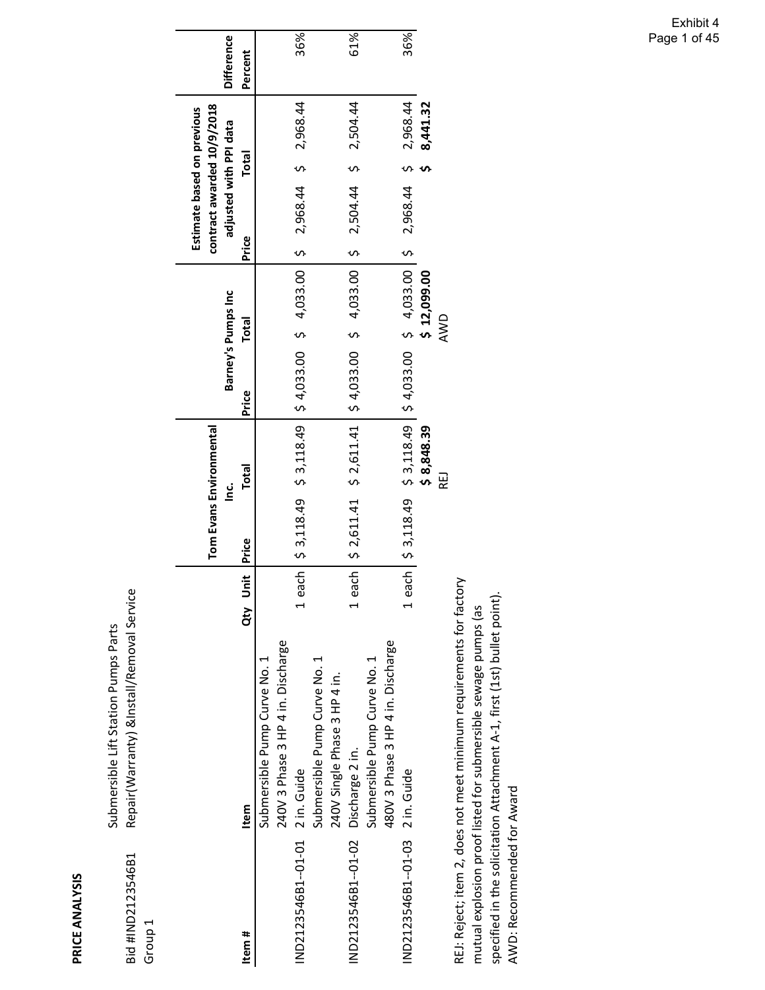| Ľ. |
|----|
| I  |
|    |
|    |
|    |
| e  |
|    |
| ī  |
| ī  |

|                                 |                                                                    |          | Tom Evans Environmental<br>ن<br>⊇ |                                                                         | Barney's Pumps Inc |       |             |       | contract awarded 10/9/2018<br>Estimate based on previous<br>adjusted with PPI data |              |          | <b>Difference</b> |
|---------------------------------|--------------------------------------------------------------------|----------|-----------------------------------|-------------------------------------------------------------------------|--------------------|-------|-------------|-------|------------------------------------------------------------------------------------|--------------|----------|-------------------|
| Item #                          | Item                                                               | Qty Unit | Price                             | Total                                                                   | Price              | Total |             | Price |                                                                                    | <b>Total</b> |          | Percent           |
|                                 | Submersible Pump Curve No. 1                                       |          |                                   |                                                                         |                    |       |             |       |                                                                                    |              |          |                   |
|                                 | 240V 3 Phase 3 HP 4 in. Discharge                                  |          |                                   |                                                                         |                    |       |             |       |                                                                                    |              |          |                   |
| IND2123546B1--01-01 2 in. Guide |                                                                    |          |                                   | 1 each 5 3,118.49 5 4,033.00 5 4,033.00 5 2,968.44 5 2,968.44           |                    |       |             |       |                                                                                    |              |          | 36%               |
|                                 | Submersible Pump Curve No. 1                                       |          |                                   |                                                                         |                    |       |             |       |                                                                                    |              |          |                   |
|                                 | 240V Single Phase 3 HP 4 in.                                       |          |                                   |                                                                         |                    |       |             |       |                                                                                    |              |          |                   |
| IND2123546B1--01-02             | Discharge 2 in.                                                    | 1 each   |                                   | $$2,611.41$ $$2,611.41$ $$4,033.00$ $$4,033.00$ $$2,504.44$ $$2,504.44$ |                    |       |             |       |                                                                                    |              |          | 61%               |
|                                 | Submersible Pump Curve No. 1                                       |          |                                   |                                                                         |                    |       |             |       |                                                                                    |              |          |                   |
|                                 | 480V 3 Phase 3 HP 4 in. Discharge                                  |          |                                   |                                                                         |                    |       |             |       |                                                                                    |              |          |                   |
| IND2123546B1--01-03 2 in. Guide |                                                                    |          | 1 each   \$ 3,118.49              | $$3,118.49$ $$4,033.00$ $$4,033.00$ $$5,033.00$ $$5$                    |                    |       |             |       | 2,968.44                                                                           |              | 2,968.44 | 36%               |
|                                 |                                                                    |          |                                   | \$8,848.39                                                              |                    |       | \$12,099.00 |       |                                                                                    |              | 8,441.32 |                   |
|                                 |                                                                    |          |                                   | 已                                                                       |                    | AWD   |             |       |                                                                                    |              |          |                   |
|                                 | REI: Reject: item 2. does not meet minimum requirements for factor |          |                                   |                                                                         |                    |       |             |       |                                                                                    |              |          |                   |

REJ: Reject; item 2, does not meet minimum requirements for factory<br>mutual explosion proof listed for submersible sewage pumps (as REJ: Reject; item 2, does not meet minimum requirements for factory specified in the solicitation Attachment A-1, first (1st) bullet point). specified in the solicitation Attachment A‐1, first (1st) bullet point). mutual explosion proof listed for submersible sewage pumps (as AWD: Recommended for Award AWD: Recommended for Award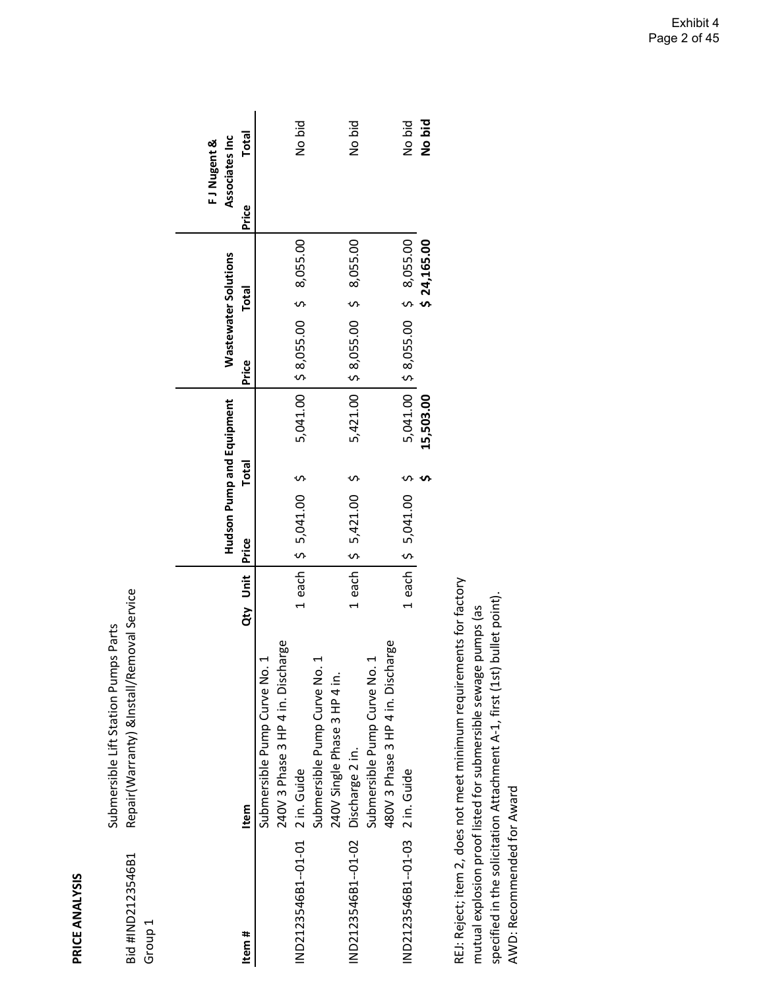| ų<br>۰ |
|--------|
| į      |
|        |
| 1      |
|        |
|        |
|        |
|        |

Submersible Lift Station Pumps Parts

Submersible Lift Station Pumps Parts

| Bid #IND2123546B1<br>Group <sub>1</sub> | Repair(Warranty) &Install/Removal Service |          |                            |              |           |                                    |              |             |                              |        |
|-----------------------------------------|-------------------------------------------|----------|----------------------------|--------------|-----------|------------------------------------|--------------|-------------|------------------------------|--------|
|                                         |                                           |          | Hudson Pump and Equipment  |              |           | Wastewater Solutions               |              |             | Associates Inc<br>FJNugent & |        |
| Item #                                  | Item                                      | Qty Unit | <b>Price</b>               | <b>Total</b> |           | Price                              | <b>Total</b> |             | Price                        | Total  |
|                                         | Submersible Pump Curve No. 1              |          |                            |              |           |                                    |              |             |                              |        |
|                                         | 240V 3 Phase 3 HP 4 in. Discharge         |          |                            |              |           |                                    |              |             |                              |        |
| IND2123546B1--01-01 2 in. Guide         |                                           |          | $1$ each $5$ , $041.00$ \$ |              |           | 5,041.00   \$8,055.00 \$8,055.00   |              |             |                              | No bid |
|                                         | Submersible Pump Curve No.                |          |                            |              |           |                                    |              |             |                              |        |
|                                         | 240V Single Phase 3 HP 4 in.              |          |                            |              |           |                                    |              |             |                              |        |
| IND2123546B1--01-02 Discharge 2 in.     |                                           |          | $1$ each $5$ , $421.00$ \$ |              |           | $5,421.00$ \$ 8,055.00 \$ 8,055.00 |              |             |                              | No bid |
|                                         | Submersible Pump Curve No. 1              |          |                            |              |           |                                    |              |             |                              |        |
|                                         | 480V 3 Phase 3 HP 4 in. Discharge         |          |                            |              |           |                                    |              |             |                              |        |
| IND2123546B1--01-03 2 in. Guide         |                                           |          | $1$ each $5$ , $041.00$ \$ |              |           | 5,041.00   \$8,055.00 \$8,055.00   |              |             |                              | No bid |
|                                         |                                           |          |                            |              | 15,503.00 |                                    |              | \$24,165.00 |                              | No bid |
|                                         |                                           |          |                            |              |           |                                    |              |             |                              |        |

REJ: Reject; item 2, does not meet minimum requirements for factory REJ: Reject; item 2, does not meet minimum requirements for factory specified in the solicitation Attachment A-1, first (1st) bullet point). specified in the solicitation Attachment A‐1, first (1st) bullet point). mutual explosion proof listed for submersible sewage pumps (as mutual explosion proof listed for submersible sewage pumps (as AWD: Recommended for Award AWD: Recommended for Award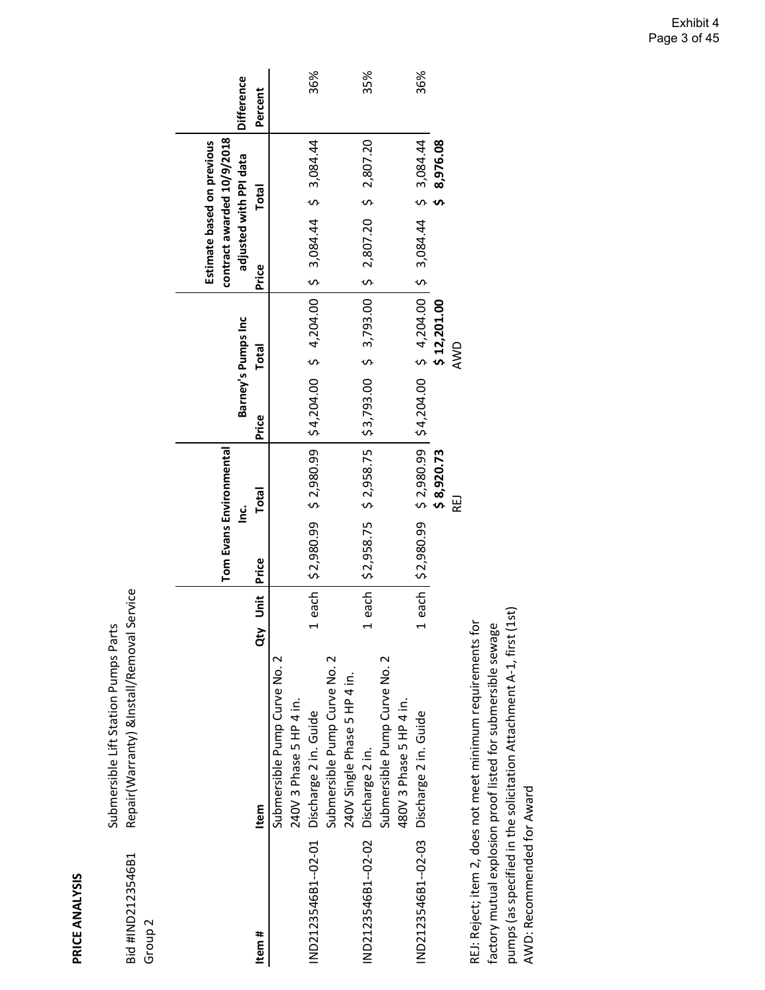Repair(Warranty) &Install/Removal Service Repair(Warranty) &Install/Removal Service Submersible Lift Station Pumps Parts Submersible Lift Station Pumps Parts Bid #IND2123546B1 Bid #IND2123546B1 Group 2

|                                           |                                                            |               |       | Tom Evans Environmental<br>ن<br>ڪ |       | Barney's Pumps Inc |       | contract awarded 10/9/2018<br>Estimate based on previous<br>adjusted with PPI data | <b>Difference</b> |
|-------------------------------------------|------------------------------------------------------------|---------------|-------|-----------------------------------|-------|--------------------|-------|------------------------------------------------------------------------------------|-------------------|
| Item #                                    | <b>Item</b>                                                | j<br>5<br>đty | Price | Total                             | Price | <b>Total</b>       | Price | <b>Total</b>                                                                       | Percent           |
|                                           | Submersible Pump Curve No. 2                               |               |       |                                   |       |                    |       |                                                                                    |                   |
|                                           | 240V 3 Phase 5 HP 4 in.                                    |               |       |                                   |       |                    |       |                                                                                    |                   |
| IND2123546B1--02-01 Discharge 2 in. Guide |                                                            |               |       |                                   |       |                    |       | each $ $ \$2,980.99 \$2,980.99 $ $ \$4,204.00 \$4,204.00 $ $ \$3,084.44 \$3,084.44 | 36%               |
|                                           | Submersible Pump Curve No. 2                               |               |       |                                   |       |                    |       |                                                                                    |                   |
|                                           | 240V Single Phase 5 HP 4 in.                               |               |       |                                   |       |                    |       |                                                                                    |                   |
| IND2123546B1--02-02 Discharge 2 in.       |                                                            |               |       |                                   |       |                    |       | each   \$2,958.75 \$ 2,958.75   \$3,793.00 \$ 3,793.00   \$ 2,807.20 \$ 2,807.20   | 35%               |
|                                           | Submersible Pump Curve No. 2                               |               |       |                                   |       |                    |       |                                                                                    |                   |
|                                           | 480V 3 Phase 5 HP 4 in.                                    |               |       |                                   |       |                    |       |                                                                                    |                   |
| IND2123546B1--02-03 Discharge 2 in. Guide |                                                            |               |       |                                   |       |                    |       | each $ 52,980.99$ $52,980.99$ $ 54,204.00$ $54,204.00$ $ 53,084.44$ $53,084.44$    | 36%               |
|                                           |                                                            |               |       | \$8,920.73                        |       | \$12,201.00        |       | 8,976.08                                                                           |                   |
|                                           |                                                            |               |       | REJ                               |       | AWD                |       |                                                                                    |                   |
|                                           | REJ: Reject; item 2, does not meet minimum requirements fo |               |       |                                   |       |                    |       |                                                                                    |                   |

pumps (as specified in the solicitation Attachment A-1, first (1st) pumps (as specified in the solicitation Attachment A‐1, first (1st) factory mutual explosion proof listed for submersible sewage factory mutual explosion proof listed for submersible sewage AWD: Recommended for Award AWD: Recommended for Award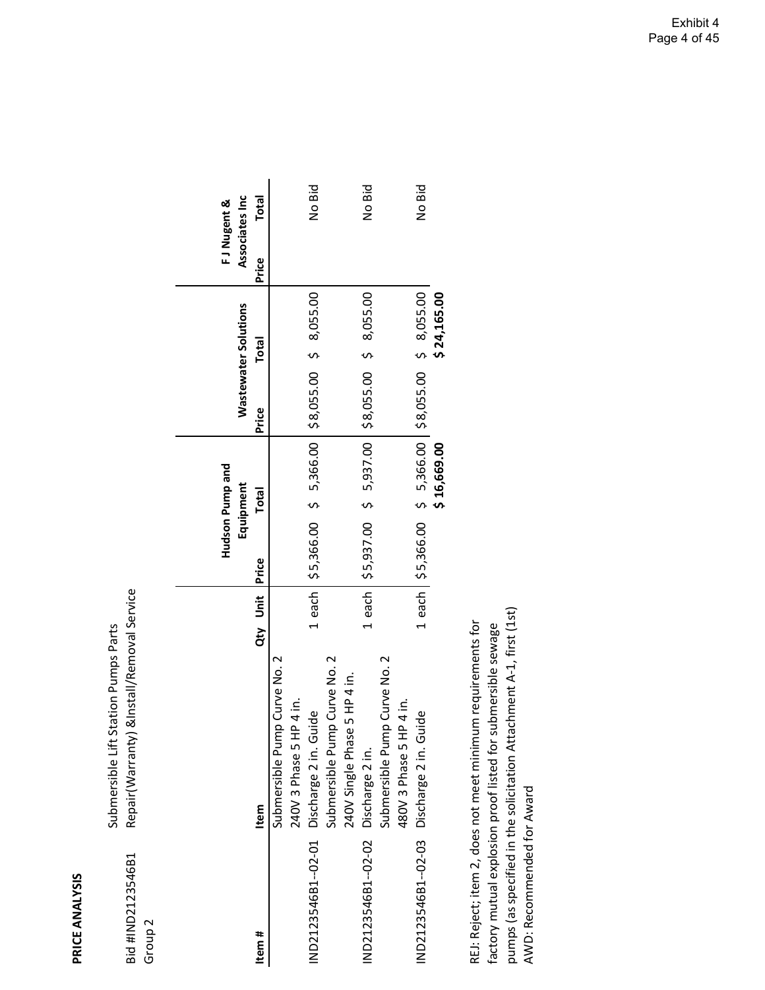Bid #IND2123546B1

Bid #IND2123546B1

Submersible Lift Station Pumps Parts

Submersible Lift Station Pumps Parts

Repair(Warranty) &Install/Removal Service

Repair(Warranty) &Install/Removal Service

| Group <sub>2</sub>                       |                              |          |                                                      |              |             |                             |       |             |       |                |
|------------------------------------------|------------------------------|----------|------------------------------------------------------|--------------|-------------|-----------------------------|-------|-------------|-------|----------------|
|                                          |                              |          | Hudson Pump and                                      |              |             |                             |       |             |       | FJ Nugent &    |
|                                          |                              |          | Equipment                                            |              |             | <b>Wastewater Solutions</b> |       |             |       | Associates Inc |
| Item #                                   | Item                         | Qty Unit | Price                                                | <b>Total</b> |             | Price                       | Total |             | Price | Total          |
|                                          | Submersible Pump Curve No. 2 |          |                                                      |              |             |                             |       |             |       |                |
|                                          | HP 4 in.<br>240V 3 Phase 5   |          |                                                      |              |             |                             |       |             |       |                |
| IND2123546B1--02-01                      | Discharge 2 in. Guide        |          | 1 each \$5,366.00 \$ 5,366.00 \$8,055.00 \$ 8,055.00 |              |             |                             |       |             |       | No Bid         |
|                                          | Submersible Pump Curve No. 2 |          |                                                      |              |             |                             |       |             |       |                |
|                                          | 240V Single Phase 5 HP 4 in. |          |                                                      |              |             |                             |       |             |       |                |
| IND2123546B1-02-02 Discharge 2 in.       |                              |          | 1 each \$5,937.00 \$ 5,937.00 \$8,055.00 \$ 8,055.00 |              |             |                             |       |             |       | No Bid         |
|                                          | Submersible Pump Curve No. 2 |          |                                                      |              |             |                             |       |             |       |                |
|                                          | HP 4 in.<br>480V 3 Phase 5   |          |                                                      |              |             |                             |       |             |       |                |
| IND2123546B1-02-03 Discharge 2 in. Guide |                              |          | 1 each \$5,366.00 \$ 5,366.00 \$8,055.00 \$ 8,055.00 |              |             |                             |       |             |       | No Bid         |
|                                          |                              |          |                                                      |              | \$16,669.00 |                             |       | \$24,165.00 |       |                |
|                                          |                              |          |                                                      |              |             |                             |       |             |       |                |

pumps (as specified in the solicitation Attachment A-1, first (1st) pumps (as specified in the solicitation Attachment A‐1, first (1st) REJ: Reject; item 2, does not meet minimum requirements for factory mutual explosion proof listed for submersible sewage REJ: Reject; item 2, does not meet minimum requirements for factory mutual explosion proof listed for submersible sewage AWD: Recommended for Award AWD: Recommended for Award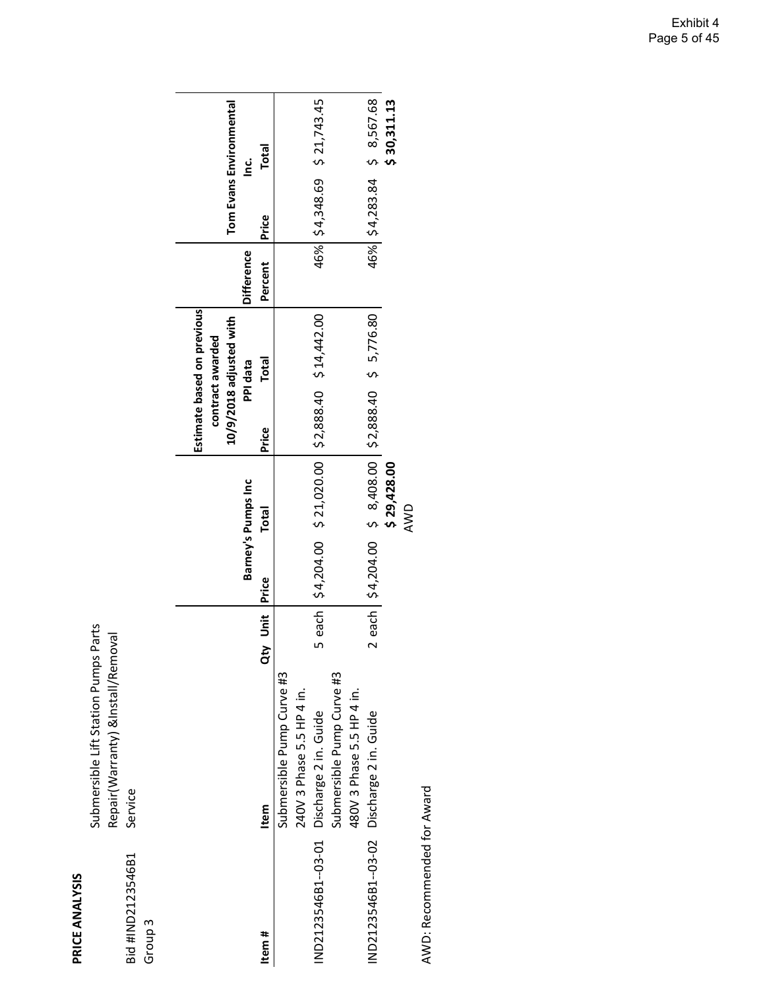Submersible Lift Station Pumps Parts Submersible Lift Station Pumps Parts Repair(Warranty) &Install/Removal<br>Service Repair(Warranty) &Install/Removal Bid #IND2123546B1 Service Bid #IND2123546B1<br>Group 3

|                                           |                           |                         |                                                                              |       | Estimate based on previous<br>10/9/2018 adjusted with<br>contract awarded |                              |                             | Tom Evans Environmental |
|-------------------------------------------|---------------------------|-------------------------|------------------------------------------------------------------------------|-------|---------------------------------------------------------------------------|------------------------------|-----------------------------|-------------------------|
| Item #                                    | Item                      | Unit Price<br>ã         | Barney's Pumps Inc<br><b>Total</b>                                           | Price | <b>Total</b><br>PPI data                                                  | <b>Difference</b><br>Percent | Price                       | <b>Total</b><br>ن<br>11 |
|                                           | Submersible Pump Curve #3 |                         |                                                                              |       |                                                                           |                              |                             |                         |
|                                           | 240V 3 Phase 5.5 HP 4 in. |                         |                                                                              |       |                                                                           |                              |                             |                         |
| IND2123546B1--03-01 Discharge 2 in. Guide |                           |                         | 5 each   \$4,204.00 \$ 21,020.00   \$2,888.40 \$ 14,442.00                   |       |                                                                           |                              | 46% \$4,348.69 \$ 21,743.45 |                         |
|                                           | Submersible Pump Curve #3 |                         |                                                                              |       |                                                                           |                              |                             |                         |
|                                           | 480V 3 Phase 5.5 HP 4 in. |                         |                                                                              |       |                                                                           |                              |                             |                         |
| IND2123546B1--03-02 Discharge 2 in. Guide |                           | $\overline{\mathsf{C}}$ | each $\frac{1}{2}$ 4,204.00 \$ 8,408.00 $\frac{1}{2}$ \$2,888.40 \$ 5,776.80 |       |                                                                           |                              | 46% 54, 283.84 \$ 8,567.68  |                         |
|                                           |                           |                         | \$29,428.00                                                                  |       |                                                                           |                              |                             | \$30,311.13             |
|                                           |                           |                         | AWD                                                                          |       |                                                                           |                              |                             |                         |
| AWD: Recommended for Award                |                           |                         |                                                                              |       |                                                                           |                              |                             |                         |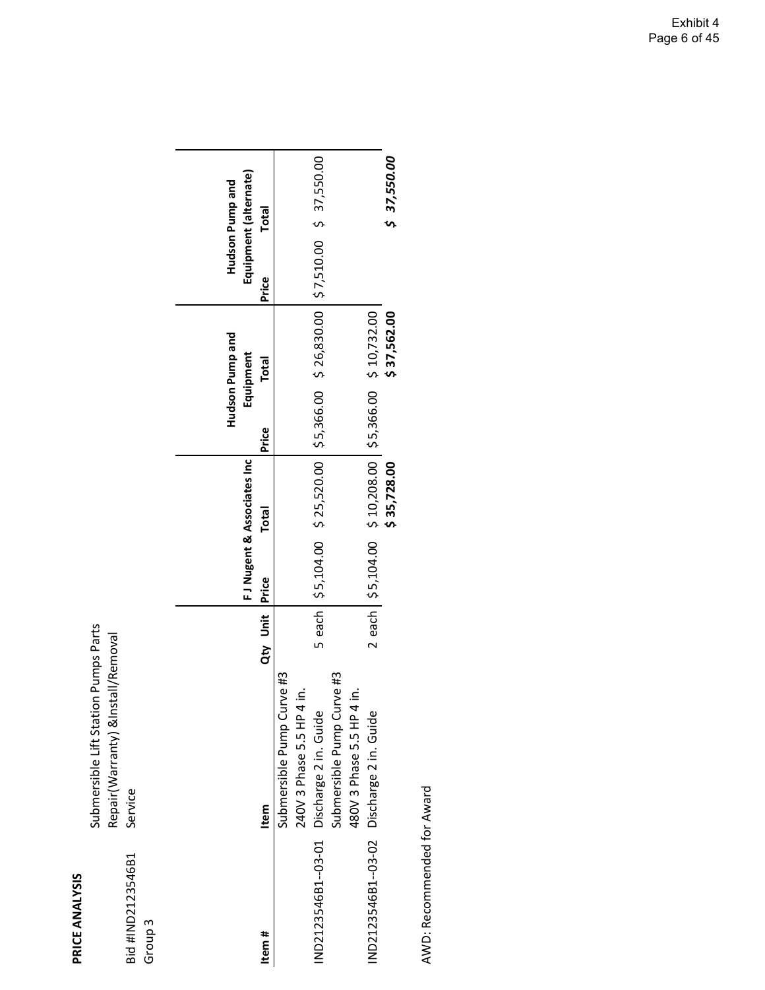Submersible Lift Station Pumps Parts Submersible Lift Station Pumps Parts Repair(Warranty) &Install/Removal<br>Service Repair(Warranty) &Install/Removal Bid #IND2123546B1 Service Bid #IND2123546B1<br>Group 3

|                                          |                                                              |                |                                                                           |       | Hudson Pump and           |       | Hudson Pump and                                                                      |
|------------------------------------------|--------------------------------------------------------------|----------------|---------------------------------------------------------------------------|-------|---------------------------|-------|--------------------------------------------------------------------------------------|
| Item #                                   | Item                                                         | Qty Unit Price | FJ Nugent & Associates Inc<br><b>Total</b>                                | Price | Equipment<br><b>Total</b> | Price | Equipment (alternate)<br><b>Total</b>                                                |
| IND2123546B1-03-01 Discharge 2 in. Guide | Submersible Pump Curve #3<br>≘<br>240V 3 Phase 5.5 HP 4      |                |                                                                           |       |                           |       | 5 each   \$5,104.00 \$ 25,520.00   \$5,366.00 \$ 26,830.00   \$7,510.00 \$ 37,550.00 |
| IND2123546B1-03-02 Discharge 2 in. Guide | Submersible Pump Curve #3<br>.<br>≘<br>480V 3 Phase 5.5 HP 4 |                | 2 each   \$5,104.00 \$ 10,208.00   \$5,366.00 \$ 10,732.00<br>\$35,728.00 |       | \$37,562.00               |       | \$ 37,550.00                                                                         |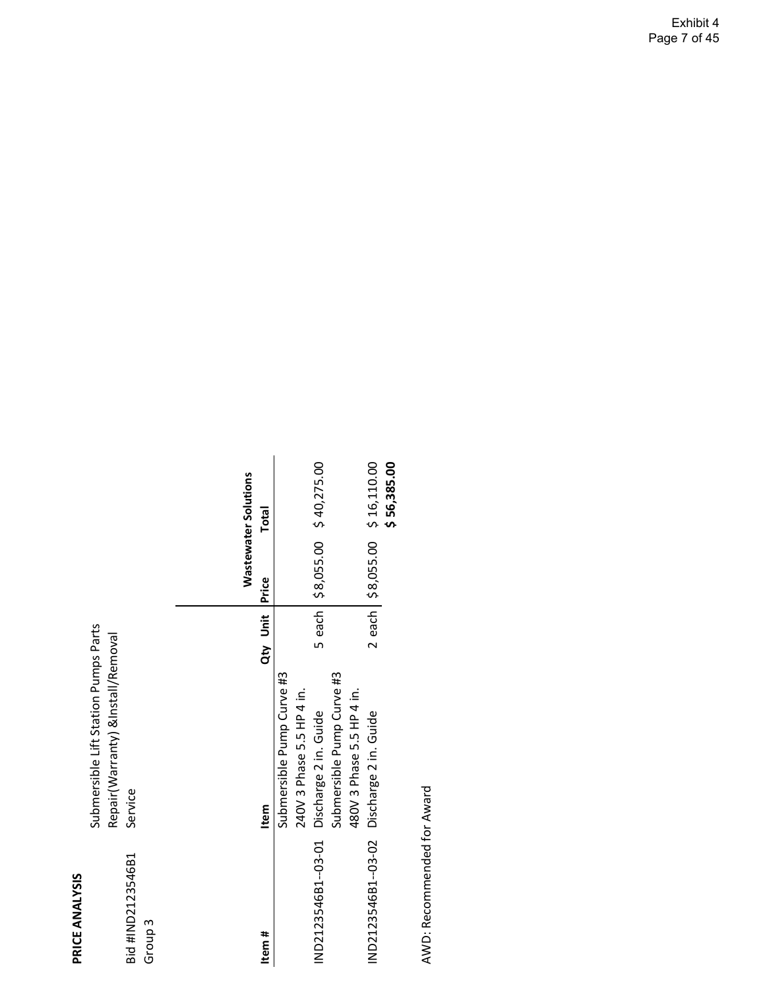|                   | Submersible Lift Station Pumps Parts |
|-------------------|--------------------------------------|
|                   | Repair (Warranty) & Install/Removal  |
| Bid #IND2123546B1 | Service                              |
| S dnoug           |                                      |

|                                          |                           |                |  | <b>Wastewater Solutions</b>      |
|------------------------------------------|---------------------------|----------------|--|----------------------------------|
| Item#                                    | <b>Item</b>               | Qty Unit Price |  | <b>Total</b>                     |
|                                          | Submersible Pump Curve #3 |                |  |                                  |
|                                          | 240V 3 Phase 5.5 HP 4 in. |                |  |                                  |
| IND2123546B1--03-01                      | Discharge 2 in. Guide     |                |  | 5 each   \$8,055.00 \$40,275.00  |
|                                          | Submersible Pump Curve #3 |                |  |                                  |
|                                          | 480V 3 Phase 5.5 HP 4 in. |                |  |                                  |
| IND2123546B1-03-02 Discharge 2 in. Guide |                           |                |  | 2 each   \$8,055.00 \$ 16,110.00 |
|                                          |                           |                |  | \$56,385.00                      |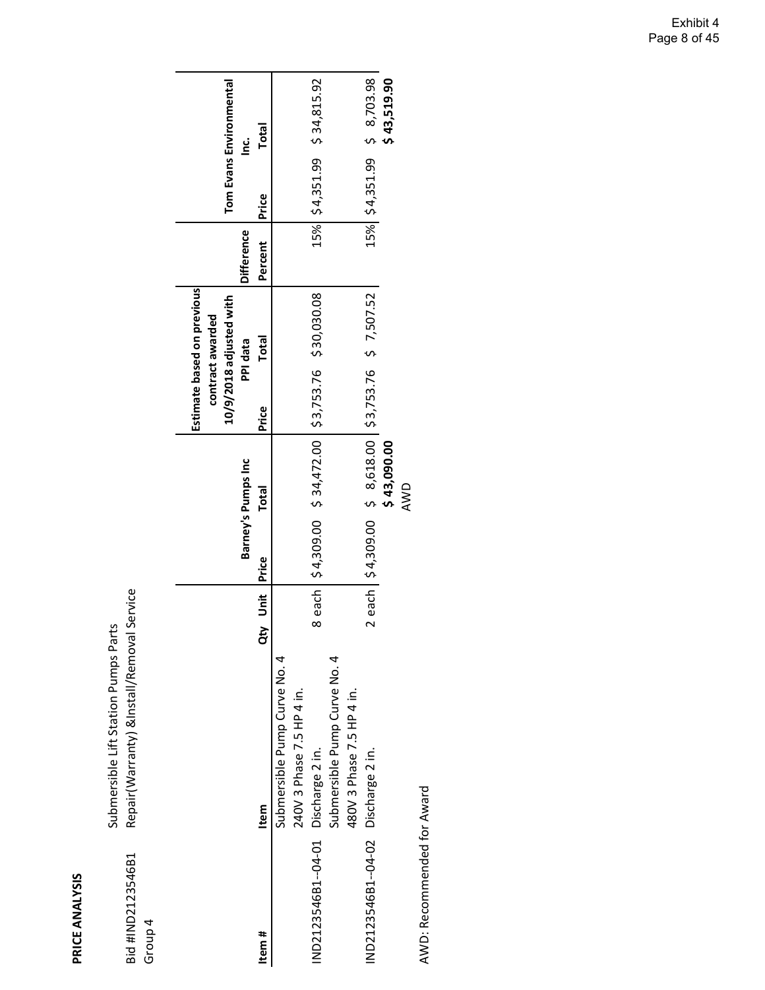| Bid #IND2123546B1<br>Group 4        | Submersible Lift Station Pumps Parts<br>Repair(Warranty) &Install/Removal: | Service   |       |                                                          |       |                                                                                       |            |       |                                                 |
|-------------------------------------|----------------------------------------------------------------------------|-----------|-------|----------------------------------------------------------|-------|---------------------------------------------------------------------------------------|------------|-------|-------------------------------------------------|
|                                     |                                                                            |           |       | Barney's Pumps Inc                                       |       | Estimate based on previous<br>10/9/2018 adjusted with<br>contract awarded<br>PPI data | Difference |       | Tom Evans Environmental<br><u>ن</u><br><u>آ</u> |
| Item #                              | Item                                                                       | Unit<br>đ | Price | <b>Total</b>                                             | Price | <b>Total</b>                                                                          | Percent    | Price | <b>Total</b>                                    |
|                                     | Submersible Pump Curve No. 4<br>240V 3 Phase 7.5 HP 4 in.                  |           |       |                                                          |       |                                                                                       |            |       |                                                 |
| IND2123546B1-04-01 Discharge 2 in.  |                                                                            |           |       | 8 each \$4,309.00 \$34,472.00 \$3,753.76 \$30,030.08     |       |                                                                                       |            |       | 15% 54,351.99 \$34,815.92                       |
|                                     | Submersible Pump Curve No. 4                                               |           |       |                                                          |       |                                                                                       |            |       |                                                 |
|                                     | 480V 3 Phase 7.5 HP 4 in.                                                  |           |       |                                                          |       |                                                                                       |            |       |                                                 |
| IND2123546B1--04-02 Discharge 2 in. |                                                                            |           |       | 2 each   \$4,309.00 \$ 8,618.00   \$3,753.76 \$ 7,507.52 |       |                                                                                       |            |       | 15% \$4,351.99 \$8,703.98                       |
|                                     |                                                                            |           |       | \$43,090.00                                              |       |                                                                                       |            |       | \$43,519.90                                     |
|                                     |                                                                            |           |       | AWD                                                      |       |                                                                                       |            |       |                                                 |
| AWD: Recommended for Award          |                                                                            |           |       |                                                          |       |                                                                                       |            |       |                                                 |

Exhibit 4 Page 8 of 45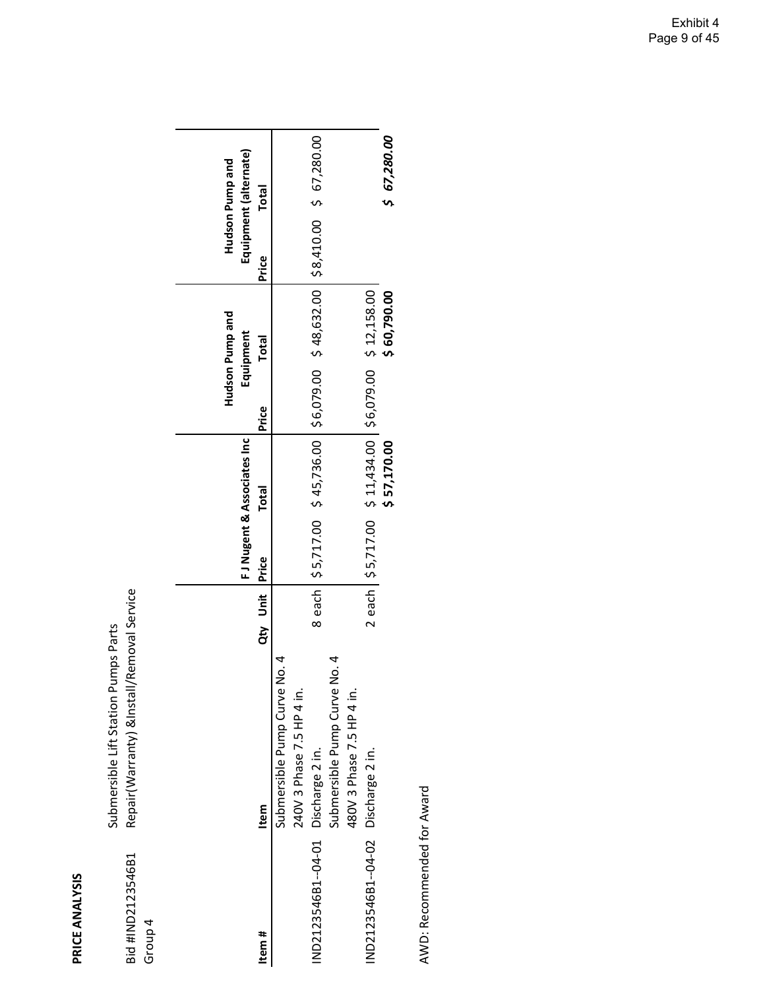Submersible Lift Station Pumps Parts

Submersible Lift Station Pumps Parts

| Bid #IND2123546B1<br>Group 4 | Repair (Warranty) & Install/Removal Service                    |                |                                                                            |       |                 |       |                       |
|------------------------------|----------------------------------------------------------------|----------------|----------------------------------------------------------------------------|-------|-----------------|-------|-----------------------|
|                              |                                                                |                |                                                                            |       | Hudson Pump and |       | Hudson Pump and       |
|                              |                                                                |                | FJ Nugent & Associates Inc                                                 |       | Equipment       |       | Equipment (alternate) |
| Item #                       | Item                                                           | Qty Unit Price | <b>Total</b>                                                               | Price | <b>Total</b>    | Price | <b>Total</b>          |
|                              | d<br>20<br>Submersible Pump Curve<br>240V 3 Phase 7.5 HP 4 in. |                |                                                                            |       |                 |       |                       |
| IND2123546B1--04-01          | Discharge 2 in.                                                |                | 8 each 55,717.00 \$45,736.00 \$6,079.00 \$48,632.00 \$8,410.00 \$67,280.00 |       |                 |       |                       |
|                              | ५<br>००<br>Submersible Pump Curve<br>480V 3 Phase 7.5 HP 4 in. |                |                                                                            |       |                 |       |                       |
| ND2123546B1--04-02           | Discharge 2 in.                                                |                | 2 each   \$5,717.00 \$ 11,434.00   \$6,079.00 \$ 12,158.00                 |       |                 |       |                       |
|                              |                                                                |                | \$57,170.00                                                                |       | \$60,790.00     |       | \$ 67,280.00          |
|                              |                                                                |                |                                                                            |       |                 |       |                       |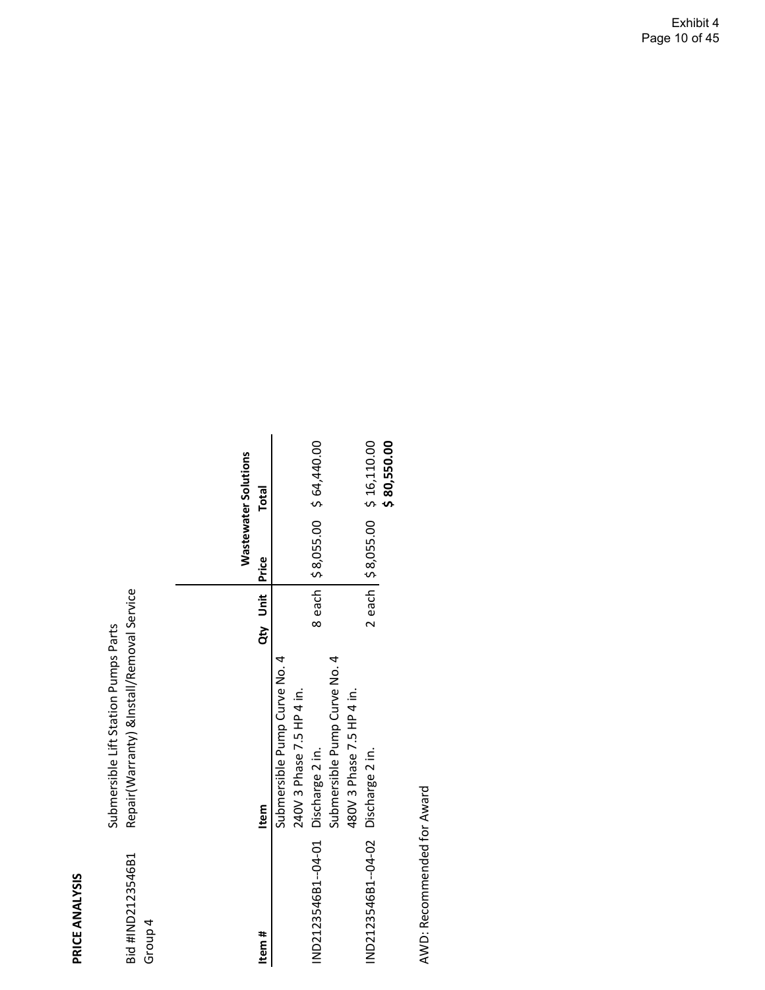|                                                                                     | Wastewater Solutions | <b>Total</b>           |                                                           | 8 each \$8,055.00 \$64,440.00                                                | 2 each   \$8,055.00 \$16,110.00<br>\$80,550.00 |
|-------------------------------------------------------------------------------------|----------------------|------------------------|-----------------------------------------------------------|------------------------------------------------------------------------------|------------------------------------------------|
| Repair (Warranty) & Install/Removal Service<br>Submersible Lift Station Pumps Parts |                      | Qty Unit Price<br>Item | Submersible Pump Curve No. 4<br>240V 3 Phase 7.5 HP 4 in. | Submersible Pump Curve No. 4<br>480V 3 Phase 7.5 HP 4 in.<br>Discharge 2 in. |                                                |
| Bid #IND2123546B1<br>Group 4                                                        |                      | Item #                 |                                                           | IND2123546B1--04-01                                                          | IND2123546B1--04-02 Discharge 2 in.            |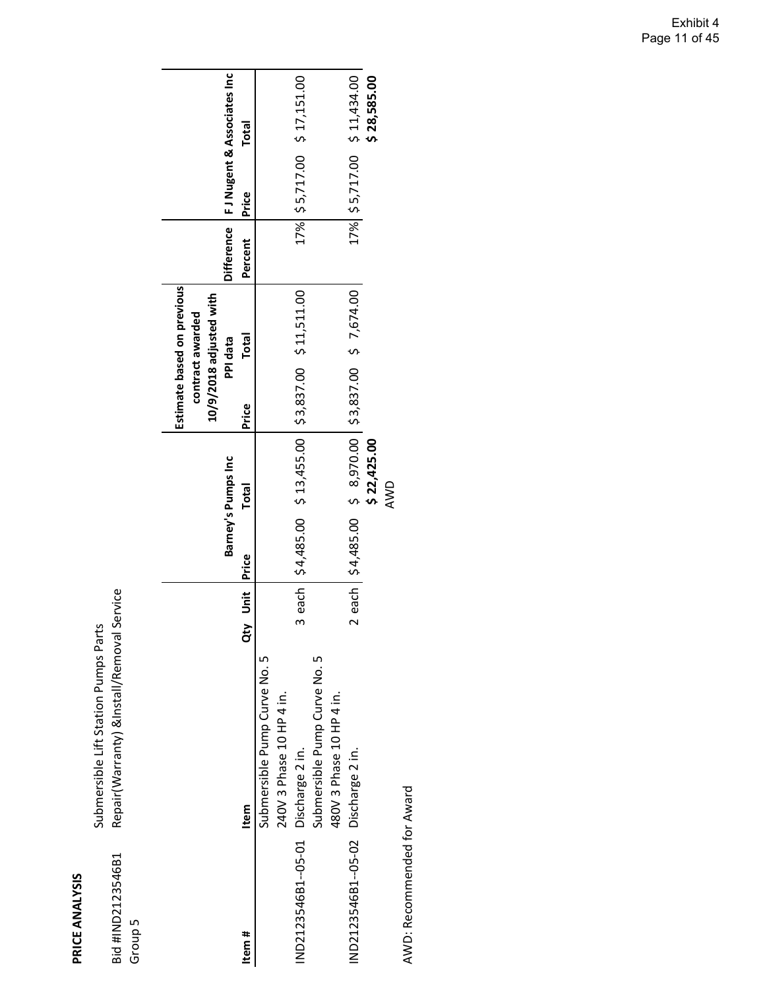| J<br>Ų<br>٢, |
|--------------|
| į            |
|              |
| ć            |
|              |
| 3            |
| ţ,           |
| í            |
| r<br>٠       |
|              |

Submersible Lift Station Pumps Parts<br>Repair(Warranty) &Install/Removal Service Bid #IND2123546B1 Repair(Warranty) &Install/Removal Service Submersible Lift Station Pumps Parts Bid #IND2123546B1<br>Group 5

|                                     |                              |              |       |                                                           |       | Estimate based on previous                  |         |                               |                                         |
|-------------------------------------|------------------------------|--------------|-------|-----------------------------------------------------------|-------|---------------------------------------------|---------|-------------------------------|-----------------------------------------|
|                                     |                              |              |       |                                                           |       | 10/9/2018 adjusted with<br>contract awarded |         |                               |                                         |
|                                     |                              |              |       | Barney's Pumps Inc                                        |       | PPI data                                    |         |                               | Difference   FJ Nugent & Associates Inc |
| Item #                              | Item                         | ty Unit<br>õ | Price | <b>Total</b>                                              | Price | <b>Total</b>                                | Percent | Price                         | <b>Total</b>                            |
|                                     | Submersible Pump Curve No. 5 |              |       |                                                           |       |                                             |         |                               |                                         |
|                                     | 240V 3 Phase 10 HP 4 in.     |              |       |                                                           |       |                                             |         |                               |                                         |
| IND2123546B1--05-01 Discharge 2 in. |                              |              |       | 3 each   \$4,485.00 \$ 13,455.00   \$3,837.00 \$11,511.00 |       |                                             |         | 17%   \$5,717.00 \$17,151.00  |                                         |
|                                     | Submersible Pump Curve No. 5 |              |       |                                                           |       |                                             |         |                               |                                         |
|                                     | 480V 3 Phase 10 HP 4 in.     |              |       |                                                           |       |                                             |         |                               |                                         |
| IND2123546B1-05-02 Discharge 2 in.  |                              |              |       | 2 each \$4,485.00 \$ 8,970.00 \$3,837.00 \$ 7,674.00      |       |                                             |         | 17%   \$5,717.00 \$ 11,434.00 |                                         |
|                                     |                              |              |       | \$ 22,425.00                                              |       |                                             |         |                               | \$28,585.00                             |
|                                     |                              |              |       | AWD                                                       |       |                                             |         |                               |                                         |
|                                     |                              |              |       |                                                           |       |                                             |         |                               |                                         |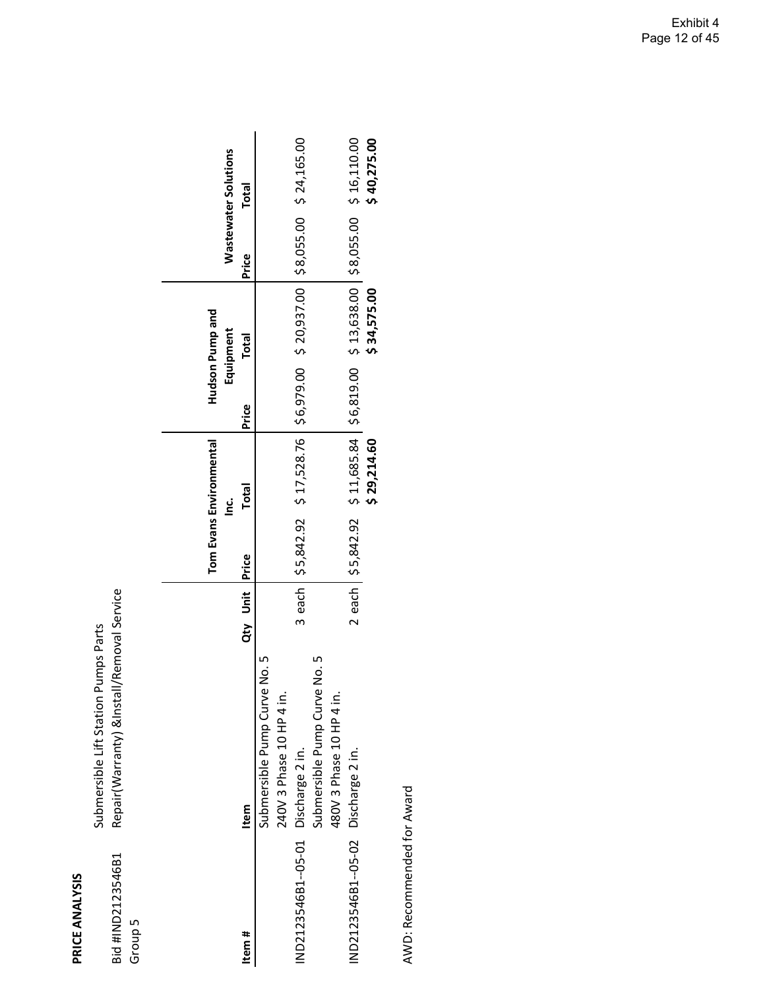Submersible Lift Station Pumps Parts<br>Repair(Warranty) &Install/Removal Service Bid #IND2123546B1 Repair(Warranty) &Install/Removal Service Submersible Lift Station Pumps Parts Bid #IND2123546B1<br>Group 5

|                                     |                                                            |                | Tom Evans Environmental<br>ن<br>⊇ |       | Hudson Pump and<br>Equipment |       | <b>Wastewater Solutions</b> |
|-------------------------------------|------------------------------------------------------------|----------------|-----------------------------------|-------|------------------------------|-------|-----------------------------|
|                                     | Item                                                       | Qty Unit Price | Total                             | Price | <b>Total</b>                 | Price | <b>Total</b>                |
|                                     | 5.ok<br>Submersible Pump Curve<br>240V 3 Phase 10 HP 4 in. |                |                                   |       |                              |       |                             |
|                                     | IND2123546B1--05-01 Discharge 2 in.                        |                |                                   |       |                              |       |                             |
|                                     | No. 5<br>Submersible Pump Curve                            |                |                                   |       |                              |       |                             |
|                                     | 480V 3 Phase 10 HP 4 in.                                   |                |                                   |       |                              |       |                             |
| IND2123546B1--05-02 Discharge 2 in. |                                                            |                |                                   |       |                              |       |                             |
|                                     |                                                            |                | \$29,214.60                       |       | \$34,575.00                  |       | \$40,275.00                 |
|                                     |                                                            |                |                                   |       |                              |       |                             |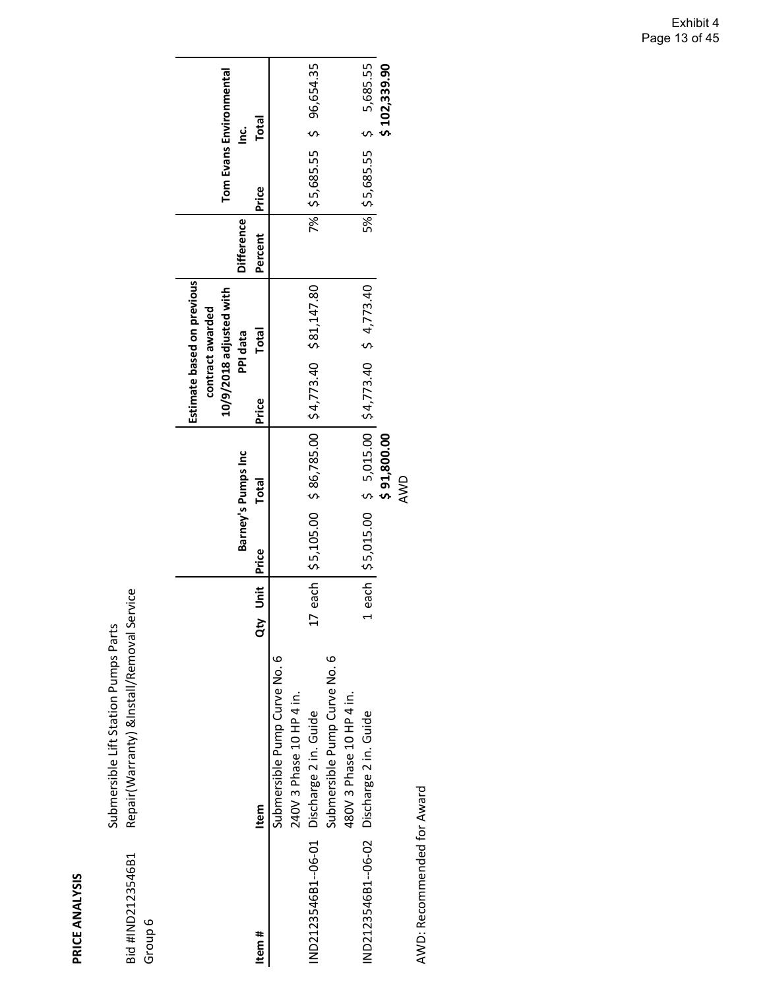\$5,685.55 \$ 96,654.35 Tom Evans Environmental **Tom Evans Environmental** Total **Price Total Inc.** 7% \$5,685.55 Price Difference **Difference Percent** Estimate based on previous **Estimate based on previous** \$4,773.40 \$81,147.80 10/9/2018 adjusted with **10/9/2018 adjusted with** contract awarded **contract awarded Total PPI data Price Total** Price 5,105.00 \$ 86,785.00 Barney's Pumps Inc **Barney's Pumps Inc Total Price Total** Price s. Qty Unit 17 each Repair(Warranty) &Install/Removal Service **Item # Item Qty Unit** Repair(Warranty) &Install/Removal Service Submersible Lift Station Pumps Parts Submersible Lift Station Pumps Parts Submersible Pump Curve No. 6 Submersible Pump Curve No. 6 Submersible Pump Curve No. 6 Submersible Pump Curve No. 6 240V 3 Phase 10 HP 4 in. 240V 3 Phase 10 HP 4 in. Discharge 2 in. Guide Discharge 2 in. Guide Item IND2123546B1--06-01 IND2123546B1‐‐06‐01 Bid #IND2123546B1 Bid #IND2123546B1 Group 6 Item#

AWD: Recommended for Award AWD: Recommended for Award

IND2123546B1‐‐06‐02

IND2123546B1--06-02

480V 3 Phase 10 HP 4 in. Discharge 2 in. Guide

Discharge 2 in. Guide

480V 3 Phase 10 HP 4 in.

1 each

 $\bm{\mathsf{\Omega}}$ 

5,015.00 \$ 5,015.00

**\$**

AWD

\$4,773.40 \$ 4,773.40

 $$5,015.00$   $$4,773.40$   $$4,773.40$ 

**91,800.00 \$ 102,339.90**

5% \$5,685.55

\$5,685.55 \$ 5,685.55

 $\sim$ 

5,685.55 \$102,339.90

96,654.35

 $\mathfrak{o}$ 

Exhibit 4 Page 13 of 45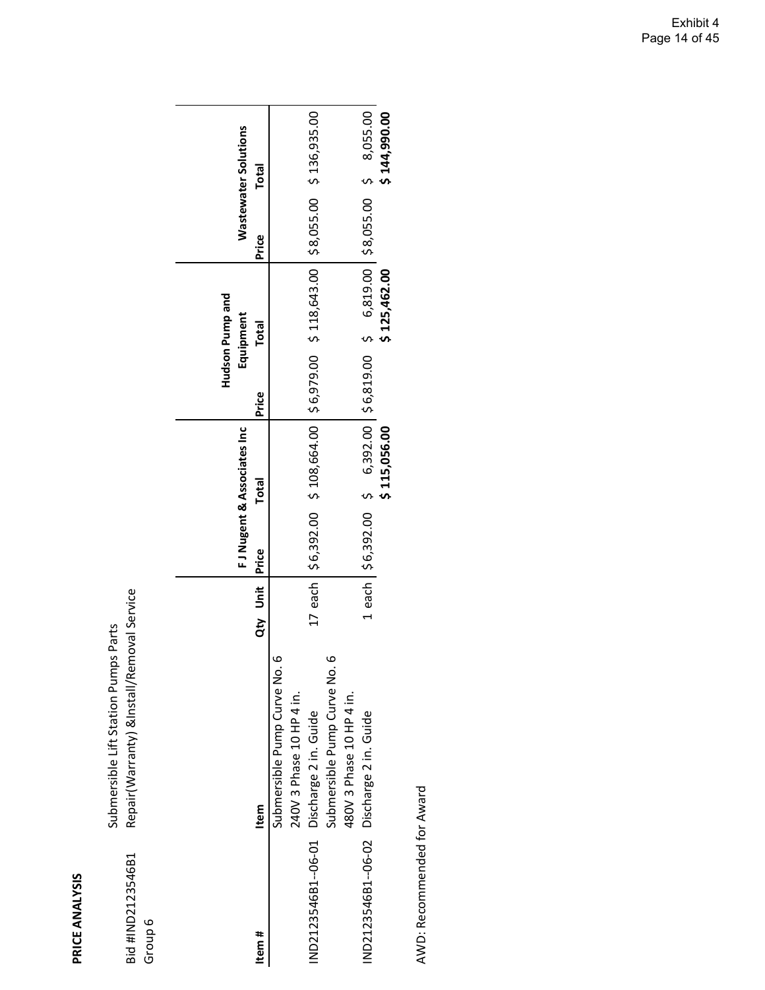| Bid #IND2123546B1<br>Group 6              | Repair(Warranty) &Install/Removal Service<br>Submersible Lift Station Pumps Parts |          |                            |              |       |                                                                                   |       |                             |  |
|-------------------------------------------|-----------------------------------------------------------------------------------|----------|----------------------------|--------------|-------|-----------------------------------------------------------------------------------|-------|-----------------------------|--|
|                                           |                                                                                   |          |                            |              |       | Hudson Pump and                                                                   |       |                             |  |
|                                           |                                                                                   |          | FJ Nugent & Associates Inc |              |       | Equipment                                                                         |       | <b>Wastewater Solutions</b> |  |
| Item #                                    | Item                                                                              | Qty Unit | <b>Price</b>               | <b>Total</b> | Price | <b>Total</b>                                                                      | Price | <b>Total</b>                |  |
|                                           | Submersible Pump Curve No. 6<br>240V 3 Phase 10 HP 4 in.                          |          |                            |              |       |                                                                                   |       |                             |  |
| IND2123546B1--06-01                       | Submersible Pump Curve No. 6<br>Discharge 2 in. Guide                             |          |                            |              |       | 17 each 56,392.00 \$ 108,664.00 \$6,979.00 \$ 118,643.00 \$8,055.00 \$ 136,935.00 |       |                             |  |
|                                           | 480V 3 Phase 10 HP 4 in.                                                          |          |                            |              |       |                                                                                   |       |                             |  |
| IND2123546B1--06-02 Discharge 2 in. Guide |                                                                                   |          |                            |              |       | 1 each 56,392.00 \$ 6,392.00 \$6,819.00 \$ 6,819.00 \$8,055.00 \$ 8,055.00        |       |                             |  |
|                                           |                                                                                   |          |                            | \$115,056.00 |       | \$125,462.00                                                                      |       | \$144,990.00                |  |
|                                           |                                                                                   |          |                            |              |       |                                                                                   |       |                             |  |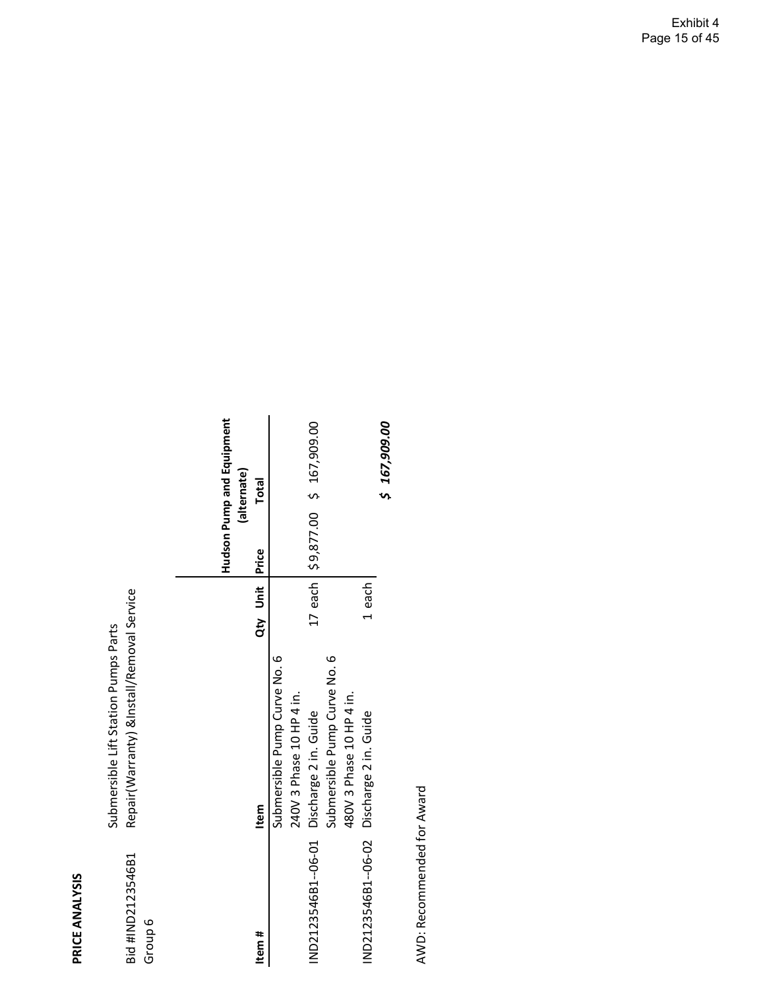|                                                                                   | Hudson Pump and Equipment<br>(alternate) | <b>Total</b>      | 17 each \$9,877.00 \$ 167,909.00                                                                                     | \$167,909.00 |
|-----------------------------------------------------------------------------------|------------------------------------------|-------------------|----------------------------------------------------------------------------------------------------------------------|--------------|
|                                                                                   |                                          | Qty Unit Price    | 1 each                                                                                                               |              |
| Repair(Warranty) &Install/Removal Service<br>Submersible Lift Station Pumps Parts |                                          | ltem              | Submersible Pump Curve No. 6<br>Submersible Pump Curve No. 6<br>240V 3 Phase 10 HP 4 in.<br>480V 3 Phase 10 HP 4 in. |              |
| Bid #IND2123546B1<br>Group 6                                                      |                                          | Item <sub>#</sub> | IND2123546B1-06-01 Discharge 2 in. Guide<br>IND2123546B1--06-02 Discharge 2 in. Guide                                |              |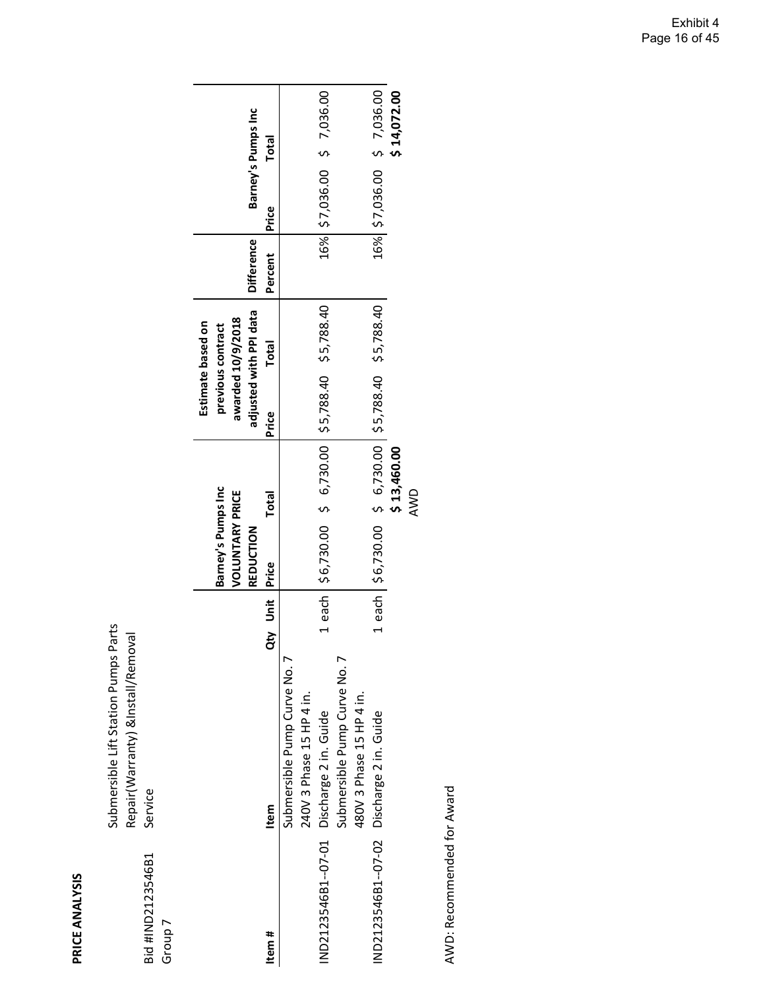Submersible Lift Station Pumps Parts<br>Repair(Warranty) &Install/Removal<br>Service Submersible Lift Station Pumps Parts Repair(Warranty) &Install/Removal Bid #IND2123546B1 Service Bid #IND2123546B1<br>Group 7

|                                           |                              |            | Barney's Pumps Inc<br><b>VOLUNTARY PRICE</b>            |                    | awarded 10/9/2018<br>Estimate based on<br>previous contract |              |                   |              |                            |
|-------------------------------------------|------------------------------|------------|---------------------------------------------------------|--------------------|-------------------------------------------------------------|--------------|-------------------|--------------|----------------------------|
|                                           |                              |            | REDUCTION                                               |                    | adjusted with PPI data                                      |              | <b>Difference</b> |              | Barney's Pumps Inc         |
| Item #                                    | Item                         | l tinu yty | Price                                                   | <b>Total</b>       | Price                                                       | <b>Total</b> | Percent           | <b>Price</b> | <b>Total</b>               |
|                                           | Submersible Pump Curve No. 7 |            |                                                         |                    |                                                             |              |                   |              |                            |
|                                           | 240V 3 Phase 15 HP 4 in.     |            |                                                         |                    |                                                             |              |                   |              |                            |
| IND2123546B1--07-01 Discharge 2 in. Guide |                              |            | 1 each   \$6,730.00 \$ 6,730.00   \$5,788.40 \$5,788.40 |                    |                                                             |              |                   |              | 16% \$7,036.00 \$ 7,036.00 |
|                                           | Submersible Pump Curve No. 7 |            |                                                         |                    |                                                             |              |                   |              |                            |
|                                           | 480V 3 Phase 15 HP 4 in.     |            |                                                         |                    |                                                             |              |                   |              |                            |
| IND2123546B1-07-02 Discharge 2 in. Guide  |                              |            | 1 each   \$6,730.00 \$ 6,730.00   \$5,788.40 \$5,788.40 |                    |                                                             |              |                   |              | 16% 57,036.00 5 7,036.00   |
|                                           |                              |            |                                                         | \$13,460.00<br>AMD |                                                             |              |                   |              | \$14,072.00                |
|                                           |                              |            |                                                         |                    |                                                             |              |                   |              |                            |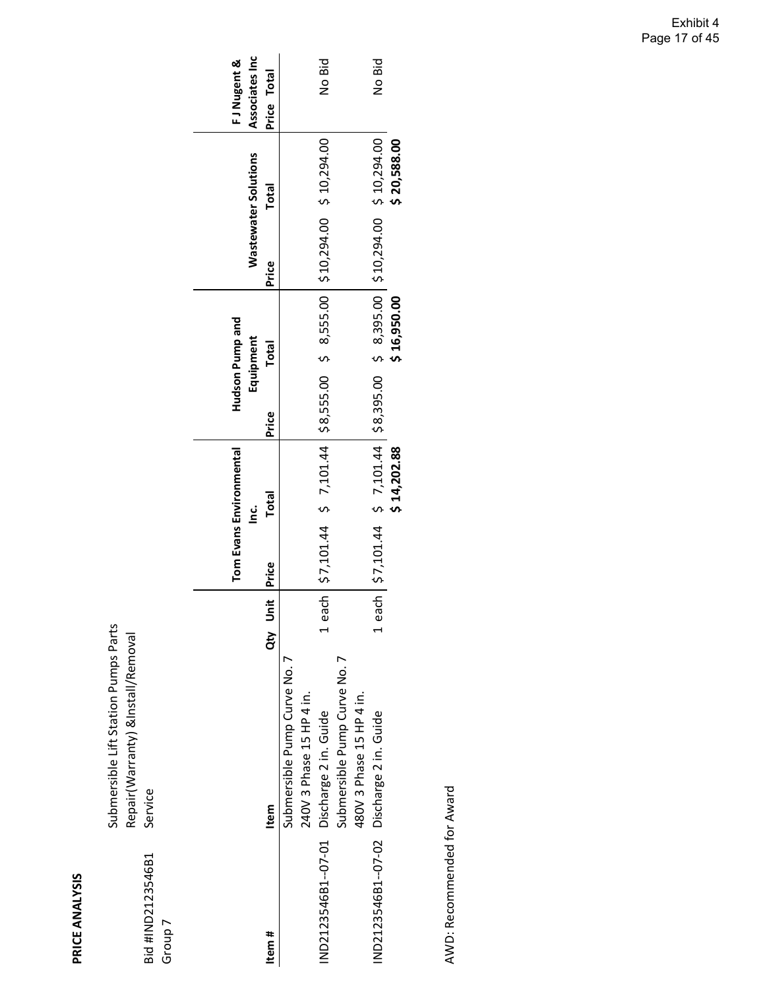|                   | Submersible Lift Station Pumps Parts |  |
|-------------------|--------------------------------------|--|
|                   | Repair(Warranty) &Install/Removal    |  |
| Bid #IND2123546B1 | Service                              |  |
| Group 7           |                                      |  |
|                   |                                      |  |
|                   |                                      |  |

|                                           |                              |          |               | Tom Evans Environmental                                                             |       | Hudson Pump and |       |                             | FJ Nugent &    |
|-------------------------------------------|------------------------------|----------|---------------|-------------------------------------------------------------------------------------|-------|-----------------|-------|-----------------------------|----------------|
|                                           |                              |          |               | <u>ن</u><br>⊇                                                                       |       | Equipment       |       | <b>Wastewater Solutions</b> | Associates Inc |
| Item#                                     | Item                         | Qty Unit | <b>IPrice</b> | <b>Total</b>                                                                        | Price | <b>Total</b>    | Price | <b>Total</b>                | Price Total    |
|                                           | Submersible Pump Curve No. 7 |          |               |                                                                                     |       |                 |       |                             |                |
|                                           | 240V 3 Phase 15 HP 4 in.     |          |               |                                                                                     |       |                 |       |                             |                |
| IND2123546B1--07-01                       | Discharge 2 in. Guide        |          |               | 1 each   \$7,101.44 \$ 7,101.44   \$8,555.00 \$ 8,555.00   \$10,294.00 \$ 10,294.00 |       |                 |       |                             | No Bid         |
|                                           | Submersible Pump Curve No. 7 |          |               |                                                                                     |       |                 |       |                             |                |
|                                           | 480V 3 Phase 15 HP 4 in.     |          |               |                                                                                     |       |                 |       |                             |                |
| IND2123546B1--07-02 Discharge 2 in. Guide |                              |          |               |                                                                                     |       |                 |       |                             | No Bid         |
|                                           |                              |          |               | \$14,202.88                                                                         |       | \$16,950.00     |       | \$20,588.00                 |                |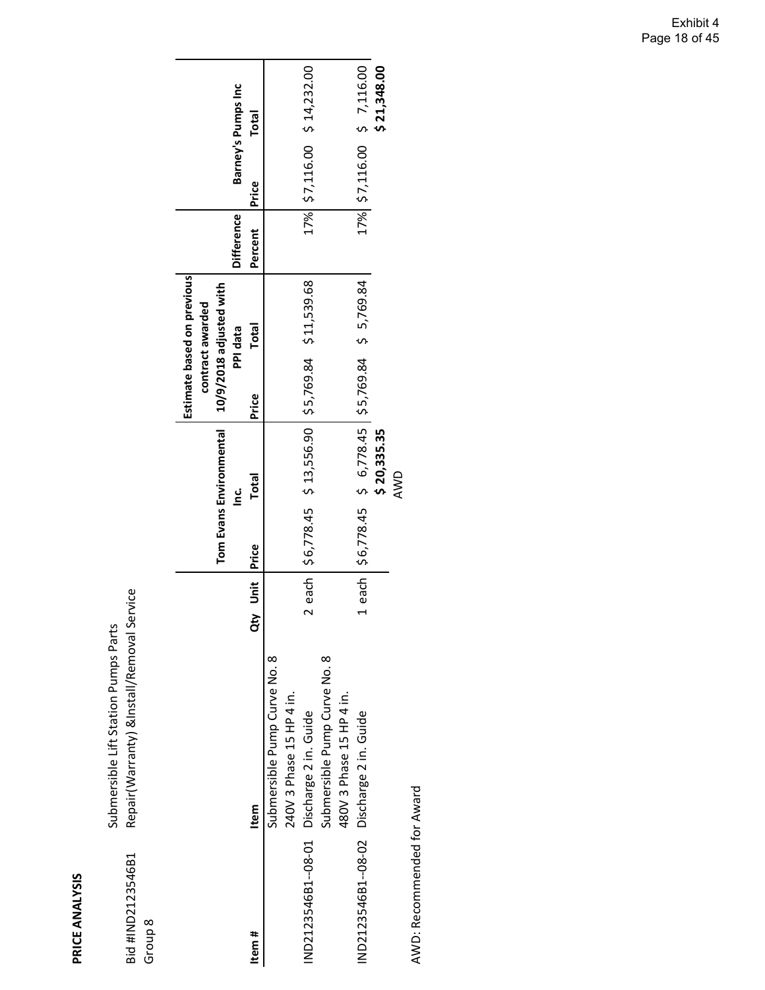Submersible Lift Station Pumps Parts<br>Repair(Warranty) &Install/Removal Service Repair(Warranty) &Install/Removal Service Submersible Lift Station Pumps Parts Bid #IND2123546B1<br>Group 8 Bid #IND2123546B1

|                                           |                              |           |       | Tom Evans Environmental                                  | 10/9/2018 adjusted with<br>contract awarded | Estimate based on previous |                   |       |                              |
|-------------------------------------------|------------------------------|-----------|-------|----------------------------------------------------------|---------------------------------------------|----------------------------|-------------------|-------|------------------------------|
|                                           |                              |           |       | ن<br>⊇                                                   |                                             | PPI data                   | <b>Difference</b> |       | Barney's Pumps Inc           |
| Item #                                    | Item                         | Unit<br>ă | Price | Total                                                    | Price                                       | <b>Total</b>               | Percent           | Price | <b>Total</b>                 |
|                                           | Submersible Pump Curve No. 8 |           |       |                                                          |                                             |                            |                   |       |                              |
|                                           | 240V 3 Phase 15 HP 4 in.     |           |       |                                                          |                                             |                            |                   |       |                              |
| IND2123546B1--08-01 Discharge 2 in. Guide |                              |           |       | 2 each   \$6,778.45 \$13,556.90   \$5,769.84 \$11,539.68 |                                             |                            |                   |       | 17%   \$7,116.00 \$14,232.00 |
|                                           | Submersible Pump Curve No. 8 |           |       |                                                          |                                             |                            |                   |       |                              |
|                                           | 480V 3 Phase 15 HP 4 in.     |           |       |                                                          |                                             |                            |                   |       |                              |
| IND2123546B1-08-02 Discharge 2 in. Guide  |                              |           |       | 1 each 56,778.45 \$ 6,778.45 \$5,769.84 \$ 5,769.84      |                                             |                            |                   |       | 17% 57,116.00 5 7,116.00     |
|                                           |                              |           |       | \$20,335.35                                              |                                             |                            |                   |       | \$21,348.00                  |
|                                           |                              |           |       | AWD                                                      |                                             |                            |                   |       |                              |
| AWD: Recommended for Award                |                              |           |       |                                                          |                                             |                            |                   |       |                              |

Exhibit 4 Page 18 of 45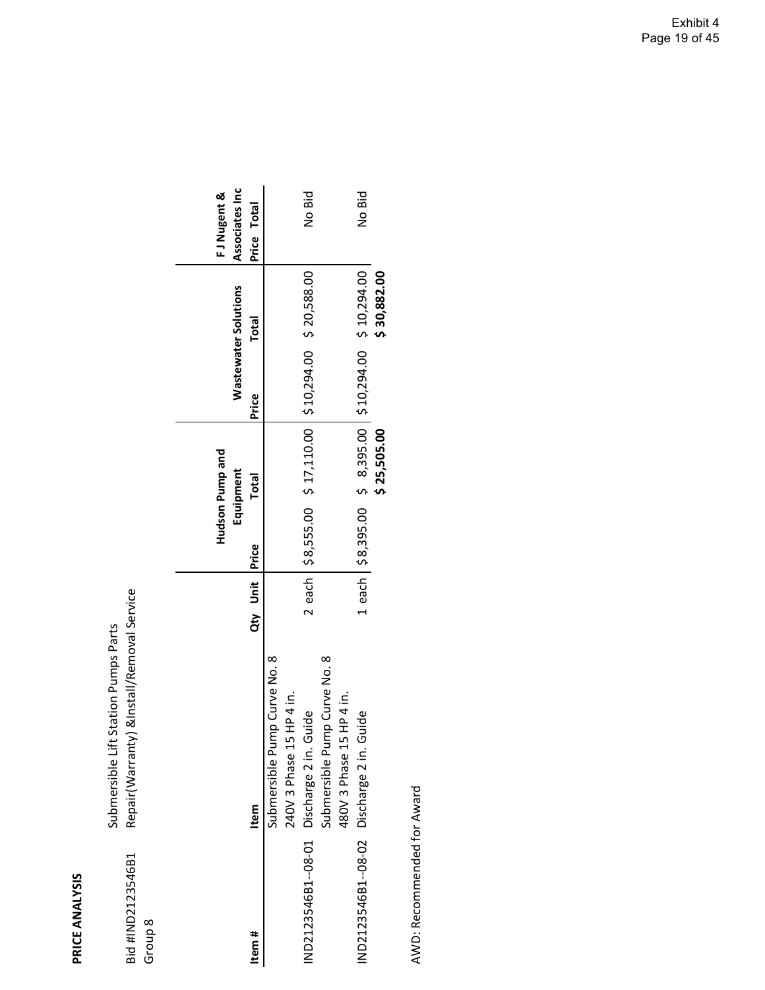| Bid #IND2123546B1<br>Group 8 | Repair(Warranty) &Install/Removal Service<br>Submersible Lift Station Pumps Parts |          |       |                 |                                                             |                      |                |
|------------------------------|-----------------------------------------------------------------------------------|----------|-------|-----------------|-------------------------------------------------------------|----------------------|----------------|
|                              |                                                                                   |          |       |                 |                                                             |                      |                |
|                              |                                                                                   |          |       | Hudson Pump and |                                                             |                      | FJ Nugent &    |
|                              |                                                                                   |          |       | Equipment       |                                                             | Wastewater Solutions | Associates Inc |
| Item #                       | Item                                                                              | Qty Unit | Price | <b>Total</b>    | Price                                                       | <b>Total</b>         | Price Total    |
|                              | Submersible Pump Curve No. 8                                                      |          |       |                 |                                                             |                      |                |
|                              | 240V 3 Phase 15 HP 4 in.                                                          |          |       |                 |                                                             |                      |                |
|                              | IND2123546B1-08-01 Discharge 2 in. Guide                                          |          |       |                 | 2 each   \$8,555.00 \$ 17,110.00   \$10,294.00 \$ 20,588.00 |                      | No Bid         |
|                              | Submersible Pump Curve No. 8                                                      |          |       |                 |                                                             |                      |                |
|                              | 480V 3 Phase 15 HP 4 in.                                                          |          |       |                 |                                                             |                      |                |
|                              | IND2123546B1--08-02 Discharge 2 in. Guide                                         |          |       |                 | 1 each   \$8,395.00 \$ 8,395.00   \$10,294.00 \$ 10,294.00  |                      | No Bid         |
|                              |                                                                                   |          |       | \$25,505.00     |                                                             | \$30,882.00          |                |
|                              |                                                                                   |          |       |                 |                                                             |                      |                |
| AWD: Recommended for Award   |                                                                                   |          |       |                 |                                                             |                      |                |

Exhibit 4 Page 19 of 45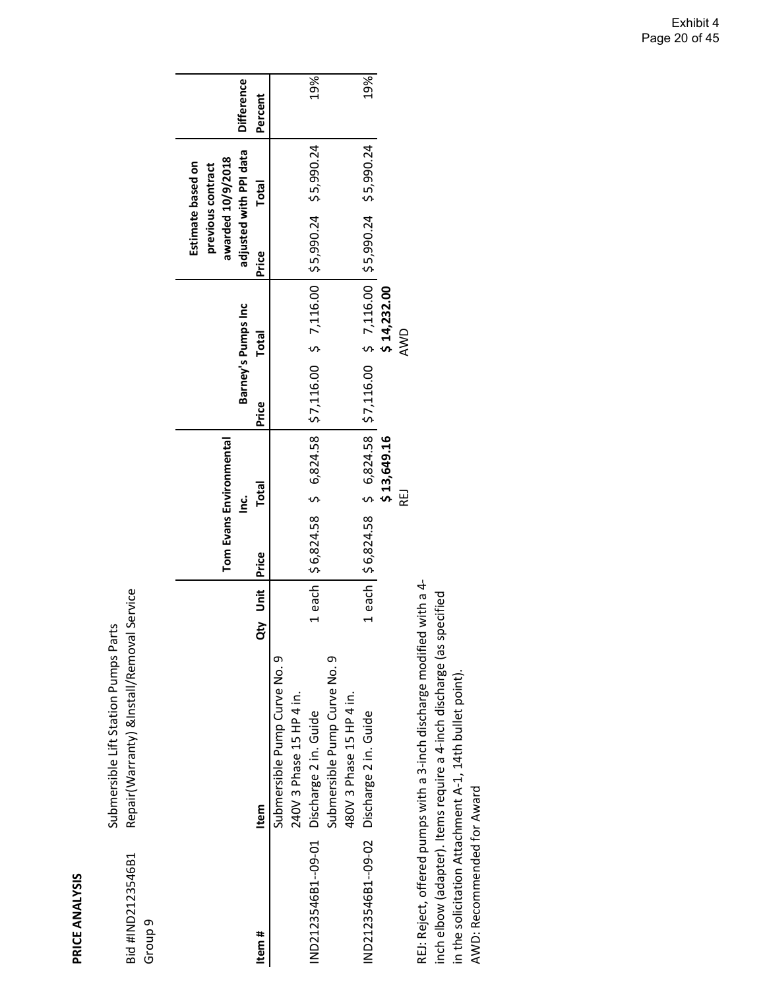Submersible Lift Station Pumps Parts

Submersible Lift Station Pumps Parts

| Bid #IND2123546B1<br>Group <sub>9</sub>   | Repair (Warranty) & Install/Removal                                    | Service        |                  |                         |       |                                                                           |                                                             |              |                   |
|-------------------------------------------|------------------------------------------------------------------------|----------------|------------------|-------------------------|-------|---------------------------------------------------------------------------|-------------------------------------------------------------|--------------|-------------------|
|                                           |                                                                        |                |                  | Tom Evans Environmental |       |                                                                           | awarded 10/9/2018<br>Estimate based on<br>previous contract |              |                   |
|                                           |                                                                        |                |                  | ن<br>⊇                  |       | Barney's Pumps Inc                                                        | adjusted with PPI data                                      |              | <b>Difference</b> |
| Item #                                    | ltem                                                                   | Qty Unit Price |                  | Total                   | Price | Total                                                                     | Price                                                       | <b>Total</b> | Percent           |
|                                           | Submersible Pump Curve No. 9                                           |                |                  |                         |       |                                                                           |                                                             |              |                   |
|                                           | 240V 3 Phase 15 HP 4 in.                                               |                |                  |                         |       |                                                                           |                                                             |              |                   |
| IND2123546B1--09-01                       | Discharge 2 in. Guide                                                  |                | 1 each 56,824.58 |                         |       | $$6,824.58$ $$7,116.00$ $$7,116.00$ $$5,990.24$ $$5,990.24$               |                                                             |              | 19%               |
|                                           | Submersible Pump Curve No. 9                                           |                |                  |                         |       |                                                                           |                                                             |              |                   |
|                                           | 480V 3 Phase 15 HP 4 in.                                               |                |                  |                         |       |                                                                           |                                                             |              |                   |
| IND2123546B1--09-02 Discharge 2 in. Guide |                                                                        |                |                  |                         |       | 1 each 56,824.58 \$ 6,824.58 \$7,116.00 \$ 7,116.00 \$5,990.24 \$5,990.24 |                                                             |              | 19%               |
|                                           |                                                                        |                |                  | \$13,649.16             |       | \$14,232.00                                                               |                                                             |              |                   |
|                                           |                                                                        |                |                  | REJ                     |       | AWD                                                                       |                                                             |              |                   |
|                                           | REJ: Reject, offered pumps with a 3-inch discharge modified            | with a 4-      |                  |                         |       |                                                                           |                                                             |              |                   |
|                                           | <b>アクジごりりょう フライストロリリジア ユウミニ アーリ りょごころりょうそう fl (より#2577)こころ上1つ ユウミニ</b> |                |                  |                         |       |                                                                           |                                                             |              |                   |

inch elbow (adapter). Items require a 4-inch discharge (as specified inch elbow (adapter). Items require a 4‐inch discharge (as specified in the solicitation Attachment A-1, 14th bullet point). in the solicitation Attachment A‐1, 14th bullet point). AWD: Recommended for Award

AWD: Recommended for Award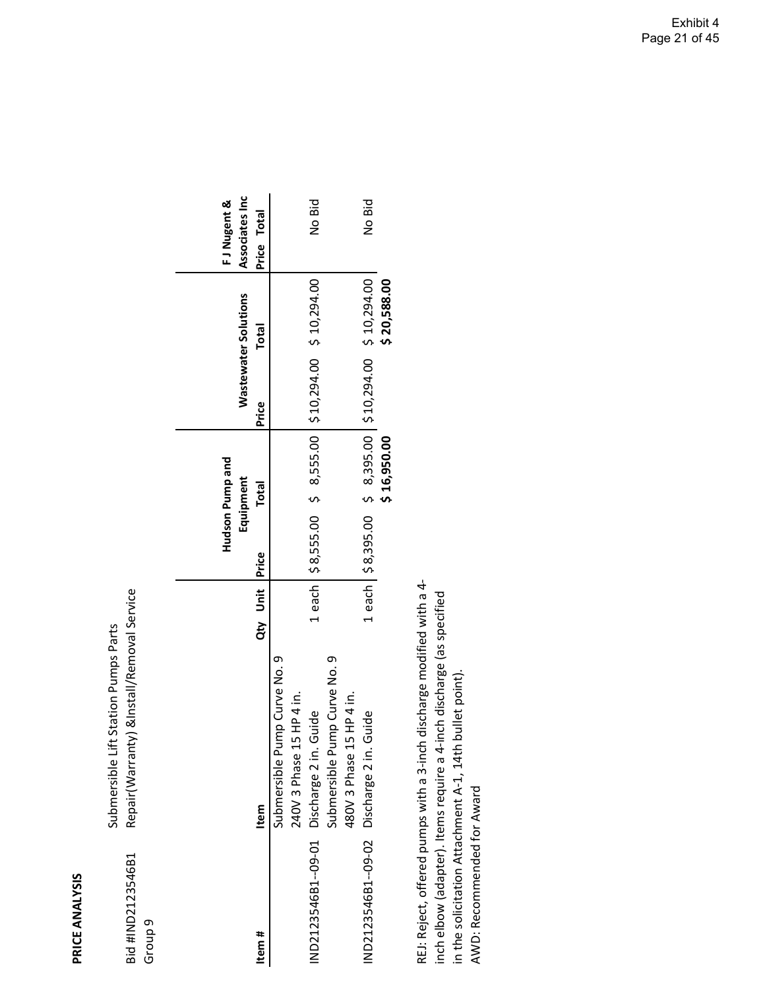Bid #IND2123546B1

Bid #IND2123546B1

Submersible Lift Station Pumps Parts

Submersible Lift Station Pumps Parts

Repair(Warranty) &Install/Removal Service

Repair(Warranty) &Install/Removal Service

| Group <sub>9</sub>                        |                               |                |                                                            |       |                             |                |
|-------------------------------------------|-------------------------------|----------------|------------------------------------------------------------|-------|-----------------------------|----------------|
|                                           |                               |                |                                                            |       |                             |                |
|                                           |                               |                | Hudson Pump and                                            |       |                             | FJ Nugent &    |
|                                           |                               |                | Equipment                                                  |       | <b>Wastewater Solutions</b> | Associates Inc |
| Item #                                    | Item                          | Qty Unit Price | <b>Total</b>                                               | Price | <b>Total</b>                | Price Total    |
|                                           | Submersible Pump Curve No. 9  |                |                                                            |       |                             |                |
|                                           | L5 HP 4 in.<br>240V 3 Phase : |                |                                                            |       |                             |                |
| IND2123546B1--09-01 Discharge 2 in. Guide |                               |                | 1 each   \$8,555.00 \$ 8,555.00   \$10,294.00 \$ 10,294.00 |       |                             | No Bid         |
|                                           | Submersible Pump Curve No. 9  |                |                                                            |       |                             |                |
|                                           | L5 HP 4 in.<br>480V 3 Phase : |                |                                                            |       |                             |                |
| ND2123546B1--09-02 Discharge 2 in.        | Guide                         |                | 1 each 58,395.00 \$ 8,395.00 \$10,294.00 \$10,294.00       |       |                             | No Bid         |
|                                           |                               |                | \$16,950.00                                                |       | \$20,588.00                 |                |

REJ: Reject, offered pumps with a 3-inch discharge modified with a 4-REJ: Reject, offered pumps with a 3‐inch discharge modified with a 4‐ inch elbow (adapter). Items require a 4-inch discharge (as specified inch elbow (adapter). Items require a 4‐inch discharge (as specified in the solicitation Attachment A-1, 14th bullet point). in the solicitation Attachment A‐1, 14th bullet point). AWD: Recommended for Award AWD: Recommended for Award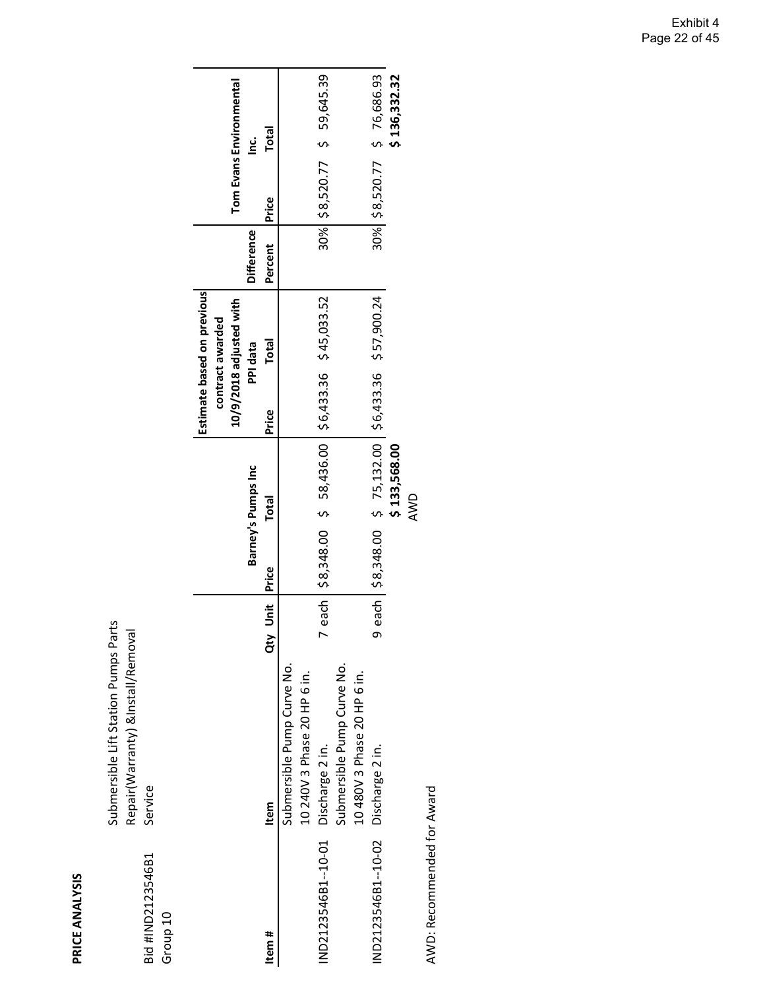Submersible Lift Station Pumps Parts Repair(Warranty) &Install/Removal

Submersible Lift Station Pumps Parts<br>Repair(Warranty) &Install/Removal<br>Service

| Bid #IND2123546B1<br>Group 10 | Service                     |                    |       |                                                         |       |                                                                           |                   |       |                             |  |
|-------------------------------|-----------------------------|--------------------|-------|---------------------------------------------------------|-------|---------------------------------------------------------------------------|-------------------|-------|-----------------------------|--|
|                               |                             |                    |       |                                                         |       |                                                                           |                   |       |                             |  |
|                               |                             |                    |       |                                                         |       | Estimate based on previous<br>10/9/2018 adjusted with<br>contract awarded |                   |       | Tom Evans Environmental     |  |
|                               |                             |                    |       | Barney's Pumps Inc                                      |       | PPI data                                                                  | <b>Difference</b> |       | ن<br>⊇                      |  |
| Item#                         | Item                        | j<br>S<br>dty      | Price | <b>Total</b>                                            | Price | <b>Total</b>                                                              | Percent           | Price | Total                       |  |
|                               | Submersible Pump Curve No.  |                    |       |                                                         |       |                                                                           |                   |       |                             |  |
|                               | 10 240V 3 Phase 20 HP 6 in. |                    |       |                                                         |       |                                                                           |                   |       |                             |  |
| IND2123546B1--10-01           | Discharge 2 in.             |                    |       | each   \$8,348.00 \$ 58,436.00   \$6,433.36 \$45,033.52 |       |                                                                           |                   |       | 30% \$8,520.77 \$ 59,645.39 |  |
|                               | Submersible Pump Curve No.  |                    |       |                                                         |       |                                                                           |                   |       |                             |  |
|                               | 10 480V 3 Phase 20 HP 6 in. |                    |       |                                                         |       |                                                                           |                   |       |                             |  |
| IND2123546B1--10-02           | Discharge 2 in.             | $\frac{1}{\sigma}$ |       | each 58,348.00 \$ 75,132.00 \$6,433.36 \$57,900.24      |       |                                                                           |                   |       | 30% \$8,520.77 \$ 76,686.93 |  |
|                               |                             |                    |       | \$133,568.00                                            |       |                                                                           |                   |       | \$136,332.32                |  |
|                               |                             |                    |       | AWD                                                     |       |                                                                           |                   |       |                             |  |
|                               |                             |                    |       |                                                         |       |                                                                           |                   |       |                             |  |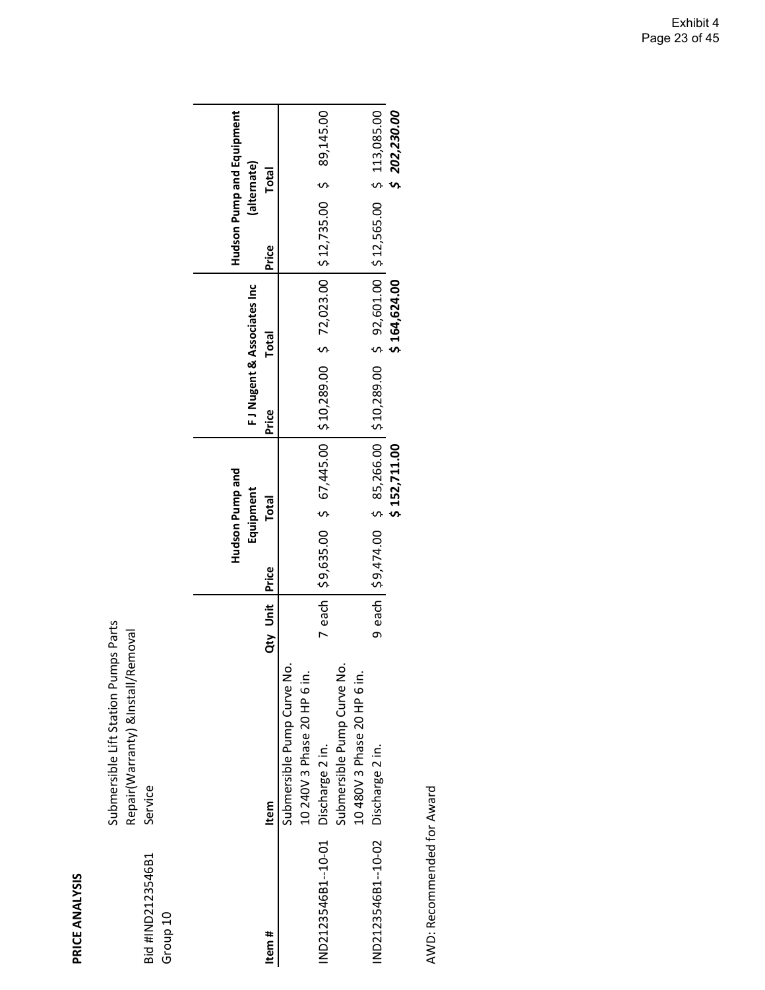Submersible Lift Station Pumps Parts Repair(Warranty) &Install/Removal

Submersible Lift Station Pumps Parts<br>Repair(Warranty) &Install/Removal<br>Service

Bid #IND2123546B1 Service

Bid #IND2123546B1

| Group 10           |                                                           |                |                                                                                         |       |                                            |                           |                             |  |
|--------------------|-----------------------------------------------------------|----------------|-----------------------------------------------------------------------------------------|-------|--------------------------------------------|---------------------------|-----------------------------|--|
|                    |                                                           |                | Hudson Pump and                                                                         |       |                                            | Hudson Pump and Equipment |                             |  |
| Item#              | Item                                                      | Qty Unit Price | Equipment<br><b>Total</b>                                                               | Price | FJ Nugent & Associates Inc<br><b>Total</b> | Price                     | (alternate)<br><b>Total</b> |  |
|                    | Submersible Pump Curve No.<br>10 240V 3 Phase 20 HP 6 in. |                |                                                                                         |       |                                            |                           |                             |  |
| ND2123546B1--10-01 | Discharge 2 in.                                           |                | 7 each   \$9,635.00 \$ 67,445.00   \$10,289.00 \$ 72,023.00   \$12,735.00 \$ 89,145.00  |       |                                            |                           |                             |  |
|                    | Submersible Pump Curve No.                                |                |                                                                                         |       |                                            |                           |                             |  |
|                    | 10 480V 3 Phase 20 HP 6 in.                               |                |                                                                                         |       |                                            |                           |                             |  |
| ND2123546B1--10-02 | Discharge 2 in.                                           |                | 9 each   \$9,474.00 \$ 85,266.00   \$10,289.00 \$ 92,601.00   \$12,565.00 \$ 113,085.00 |       |                                            |                           |                             |  |
|                    |                                                           |                | \$152,711.00                                                                            |       | \$164,624.00                               |                           | \$ 202,230.00               |  |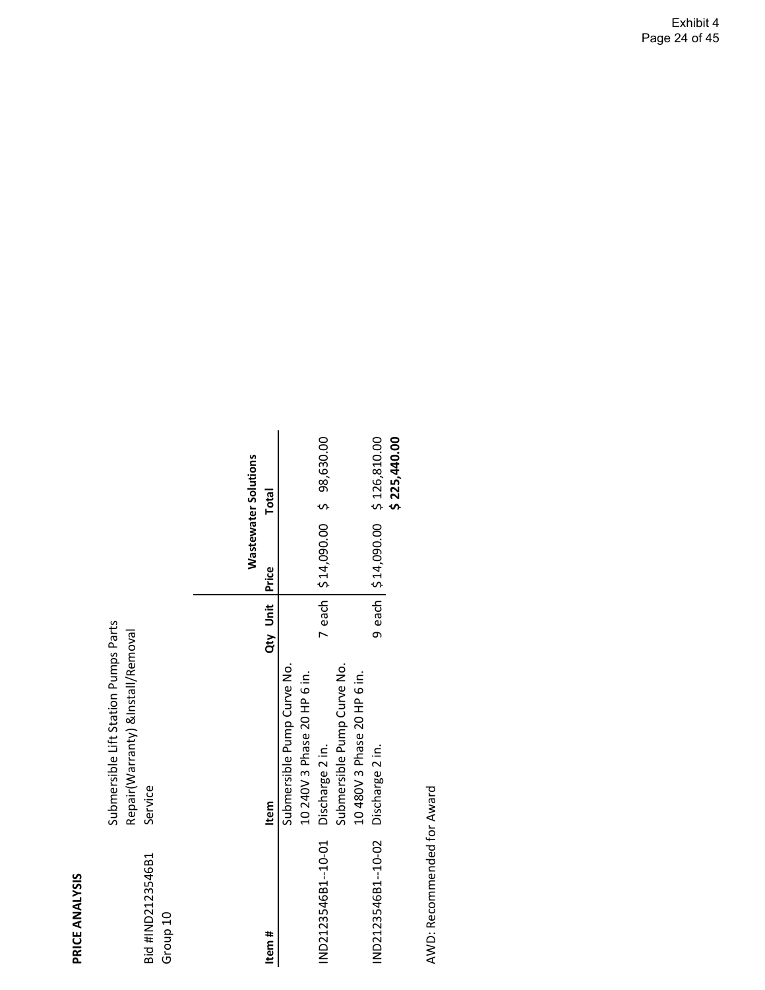|                                                                                       | Wastewater Solutions | <b>Total</b><br>Price |                            |                             | 7 each   \$14,090.00 \$ 98,630.00 |                            |                             | 9 each   \$14,090.00 \$ 126,810.00 | \$225,440.00 |
|---------------------------------------------------------------------------------------|----------------------|-----------------------|----------------------------|-----------------------------|-----------------------------------|----------------------------|-----------------------------|------------------------------------|--------------|
|                                                                                       |                      | Qty Unit              |                            |                             |                                   |                            |                             |                                    |              |
| Submersible Lift Station Pumps Parts<br>Repair(Warranty) & Install/Removal<br>Service |                      | Item                  | Submersible Pump Curve No. | 10 240V 3 Phase 20 HP 6 in. | Discharge 2 in.                   | Submersible Pump Curve No. | 10 480V 3 Phase 20 HP 6 in. | Discharge 2 in.                    |              |
| Bid #IND2123546B1<br>Group 10                                                         |                      | Item #                |                            |                             | IND2123546B1--10-01               |                            |                             | IND2123546B1--10-02                |              |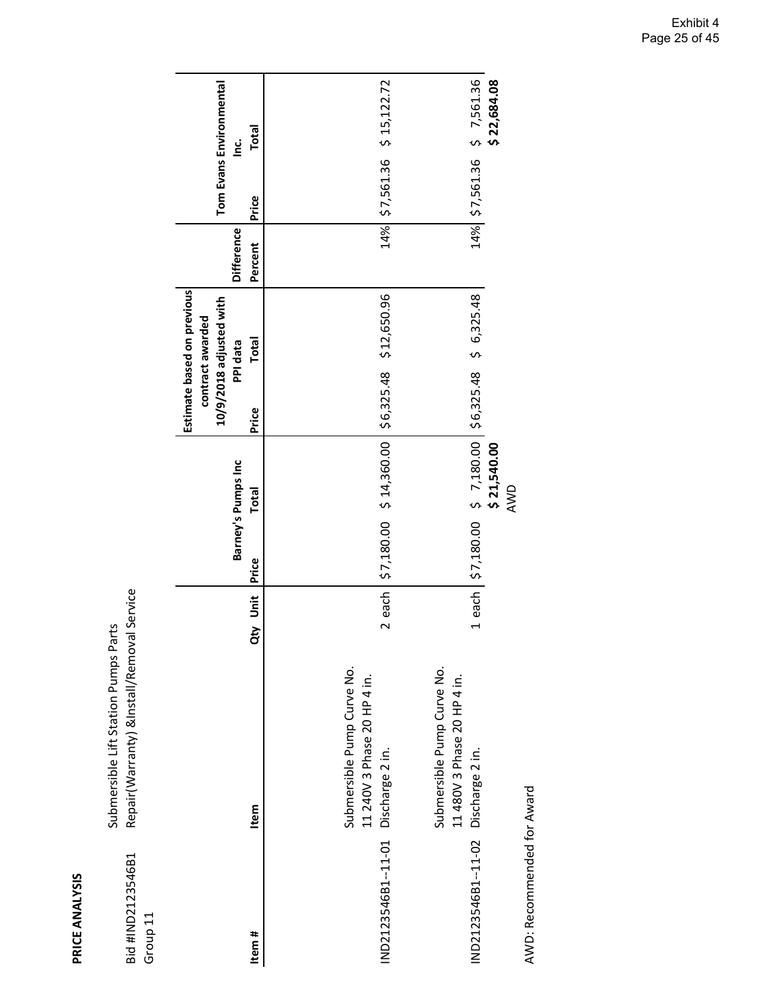| Bid #IND2123546B1<br>Group 11 | Submersible Lift Station Pumps Parts<br>Repair(Warranty) &Install/Removal    | Service            |       |                             |       |                                                                                                       |                              |                |                                                   |  |
|-------------------------------|------------------------------------------------------------------------------|--------------------|-------|-----------------------------|-------|-------------------------------------------------------------------------------------------------------|------------------------------|----------------|---------------------------------------------------|--|
| Item #                        | Item                                                                         | <b>Jnit</b><br>dty | Price | Barney's Pumps Inc<br>Total | Price | Estimate based on previous<br>10/9/2018 adjusted with<br>contract awarded<br><b>Total</b><br>PPI data | <b>Difference</b><br>Percent | Price          | Tom Evans Environmental<br>Total<br><u>ن</u><br>ڪ |  |
| IND2123546B1--11-01           | Submersible Pump Curve No.<br>11 240V 3 Phase 20 HP 4 in.<br>Discharge 2 in. | each               |       | \$7,180.00 \$4,360.00       |       | \$6,325.48 \$12,650.96                                                                                |                              | 14% \$7,561.36 | 515,122.72                                        |  |
| IND2123546B1--11-02           | Submersible Pump Curve No.<br>11 480V 3 Phase 20 HP 4 in.<br>Discharge 2 in. |                    |       | each \$7,180.00 \$ 7,180.00 |       | $56,325.48$ \$ 6,325.48                                                                               |                              |                | 14% \$7,561.36 \$7,561.36                         |  |
| AWD: Recommended for Award    |                                                                              |                    |       | \$21,540.00<br>AWD          |       |                                                                                                       |                              |                | \$22,684.08                                       |  |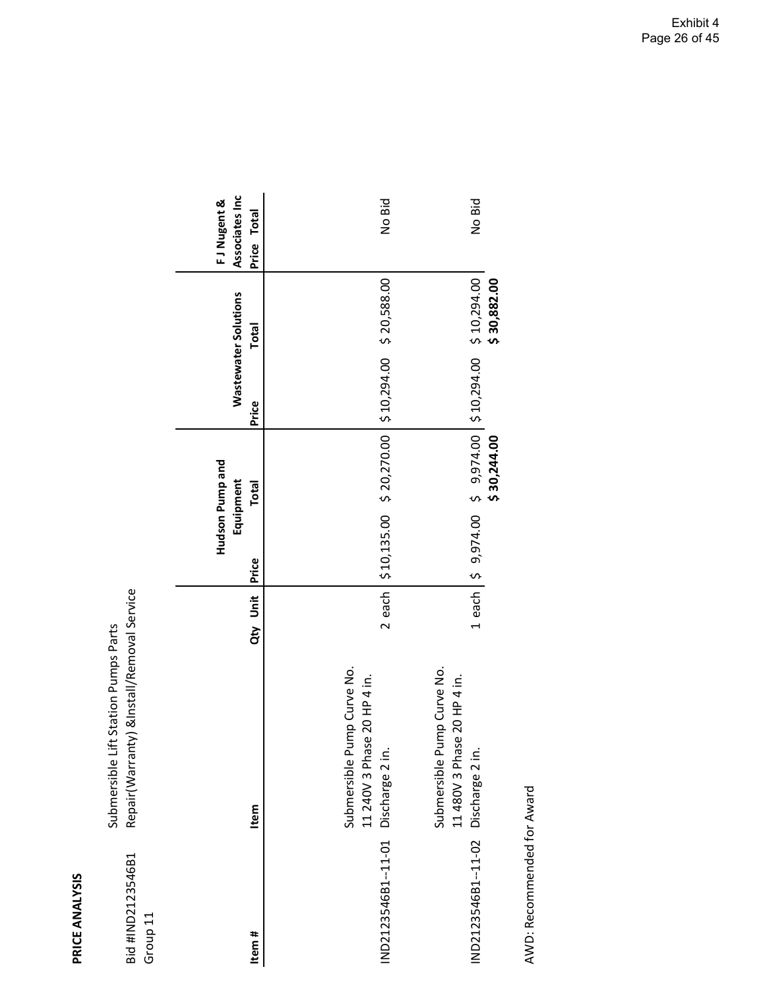|                                                                                    | Associates Inc<br>FJNugent &<br>Price Total | No Bid                                                                           | No Bid                                                                          |
|------------------------------------------------------------------------------------|---------------------------------------------|----------------------------------------------------------------------------------|---------------------------------------------------------------------------------|
|                                                                                    | Wastewater Solutions<br><b>Total</b>        |                                                                                  | \$30,882.00                                                                     |
|                                                                                    | Price                                       | \$10,294.00 \$20,588.00                                                          | \$10,294.00 \$10,294.00                                                         |
|                                                                                    | Hudson Pump and<br>Equipment<br>Total       | \$20,270.00                                                                      | \$ 9,974.00<br>\$30,244.00                                                      |
|                                                                                    | <b>Price</b>                                | \$10,135.00                                                                      | 1 each   \$ 9,974.00                                                            |
|                                                                                    | Qty Unit                                    | 2 each                                                                           |                                                                                 |
| Repair(Warranty) & Install/Removal Service<br>Submersible Lift Station Pumps Parts | Item                                        | Submersible Pump Curve No.<br>e 20 HP 4 in.<br>11 240V 3 Phas<br>Discharge 2 in. | Submersible Pump Curve No.<br>e 20 HP 4 in.<br>11480V 3 Phas<br>Discharge 2 in. |
| Bid #IND2123546B1<br>Group 11                                                      | Item #                                      | IND2123546B1--11-01                                                              | IND2123546B1--11-02                                                             |

AWD: Recommended for Award

AWD: Recommended for Award

Exhibit 4 Page 26 of 45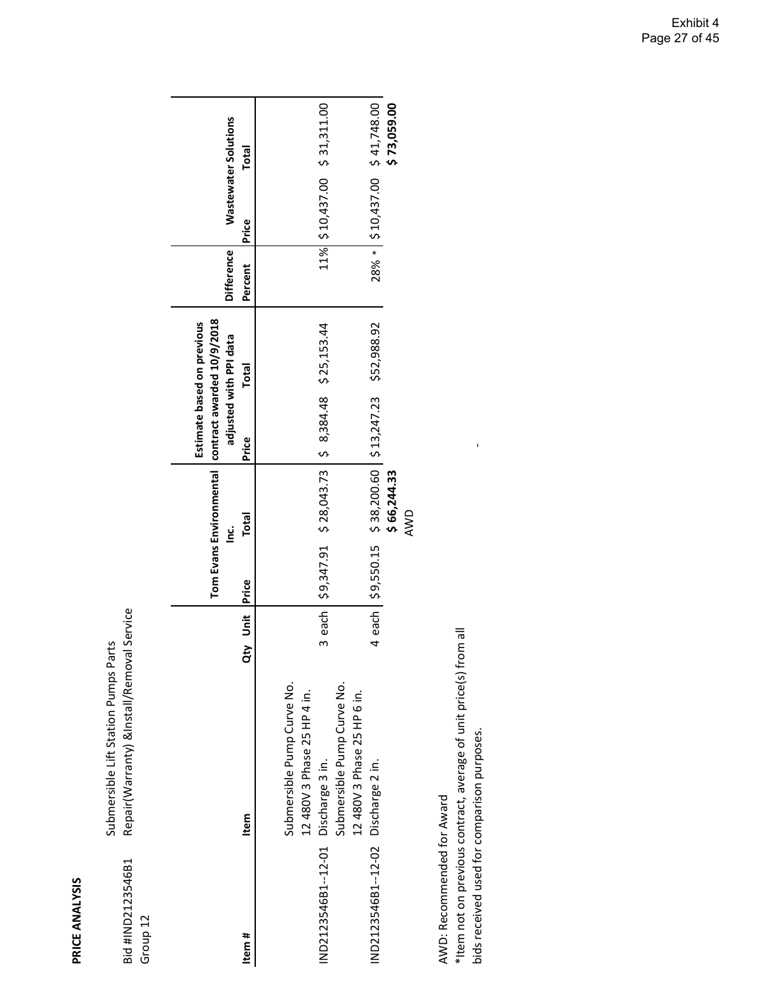| Bid #IND2123546B1<br>Group 12       | Submersible Lift Station Pumps Parts<br>Repair(Warranty) &Install/Removal | Service   |              |                                                                |                                                      |              |                   |                             |             |
|-------------------------------------|---------------------------------------------------------------------------|-----------|--------------|----------------------------------------------------------------|------------------------------------------------------|--------------|-------------------|-----------------------------|-------------|
|                                     |                                                                           |           |              | Tom Evans Environmental   contract awarded 10/9/2018<br>ن<br>⊇ | Estimate based on previous<br>adjusted with PPI data |              | <b>Difference</b> | <b>Wastewater Solutions</b> |             |
| Item #                              | Item                                                                      | Unit<br>ã | <b>Price</b> | Total                                                          | Price                                                | <b>Total</b> | Percent           | Price                       | Total       |
|                                     | Submersible Pump Curve No.<br>12 480V 3 Phase 25 HP 4 in.                 |           |              |                                                                |                                                      |              |                   |                             |             |
| IND2123546B1-12-01 Discharge 3 in.  | Submersible Pump Curve No.                                                |           |              | 3 each \$9,347.91 \$28,043.73                                  | $$8,384.48$ $$25,153.44$                             |              |                   | 11% \$10,437.00 \$31,311.00 |             |
|                                     | 12 480V 3 Phase 25 HP 6 in.                                               |           |              |                                                                |                                                      |              |                   |                             |             |
| IND2123546B1--12-02 Discharge 2 in. |                                                                           |           |              | 4 each   \$9,550.15 \$ 38,200.60                               | 513,247.23                                           | \$52,988.92  | 28% *             | $$10,437.00$ $$41,748.00$   |             |
|                                     |                                                                           |           |              | \$66,244.33<br>AWD                                             |                                                      |              |                   |                             | \$73,059.00 |
|                                     |                                                                           |           |              |                                                                |                                                      |              |                   |                             |             |
| AWD: Recommended for Award          |                                                                           |           |              |                                                                |                                                      |              |                   |                             |             |
|                                     |                                                                           |           |              |                                                                |                                                      |              |                   |                             |             |

\*Item not on previous contract, average of unit price(s) from all

"Item not on previous contract, average of unit price(s) from all bids received used for comparison purposes. bids received used for comparison purposes.

 $\mathbf{I}$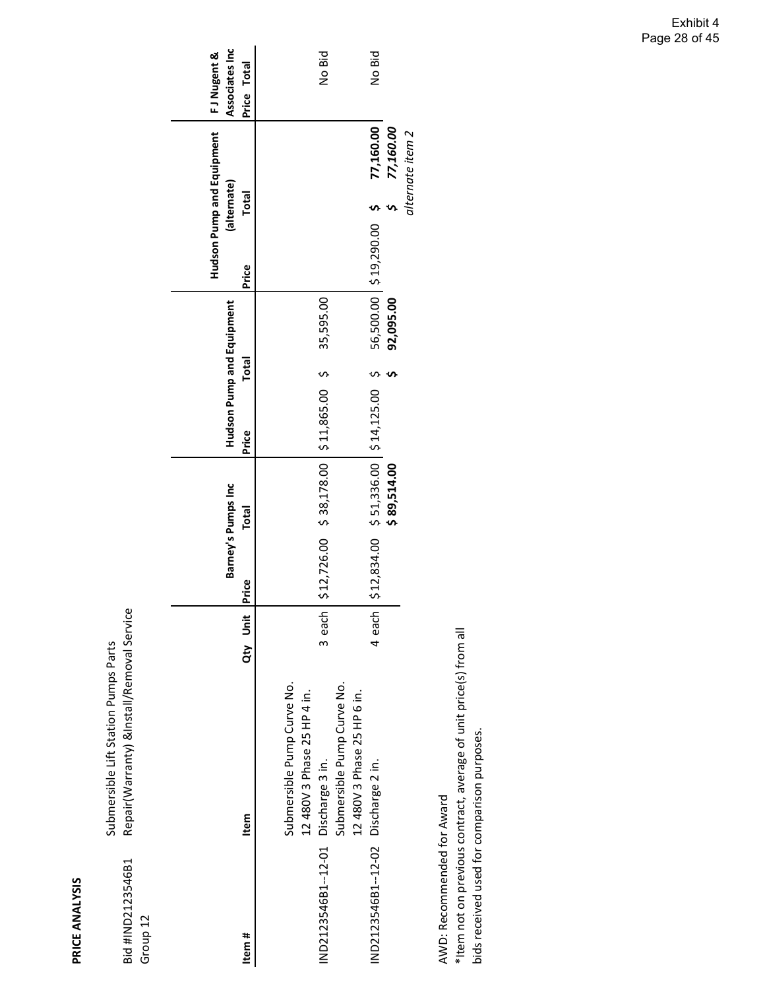|    | l |
|----|---|
|    |   |
|    |   |
|    |   |
|    |   |
|    | ï |
| ë  | r |
| L  |   |
| ۰. | ı |
|    |   |
| ٦  |   |
|    | ۱ |
|    |   |

| Repair(Warranty) &Install/Removal Service<br>Submersible Lift Station Pumps Parts | Associates Inc<br>FJ Nugent &<br>Price Total<br>Hudson Pump and Equipment<br>(alternate)<br>Total<br>Price<br>Hudson Pump and Equipment<br><b>Total</b><br>Price<br>Barney's Pumps Inc<br><b>Total</b><br><b>Price</b><br>Qty Unit<br><b>Item</b> | No Bid<br>35,595.00<br>\$12,726.00 \$38,178.00 \$11,865.00 \$<br>3 each<br>Submersible Pump Curve No.<br>Submersible Pump Curve No.<br>12 480V 3 Phase 25 HP 4 in.<br>12 480V 3 Phase 25 HP 6 in. | No Bid<br>77,160.00<br>77,160.00<br>56,500.00 \$19,290.00<br>92,095.00<br>$$12,834.00$ $$51,336.00$ $$14,125.00$ \$<br>\$89,514.00<br>4 each |
|-----------------------------------------------------------------------------------|---------------------------------------------------------------------------------------------------------------------------------------------------------------------------------------------------------------------------------------------------|---------------------------------------------------------------------------------------------------------------------------------------------------------------------------------------------------|----------------------------------------------------------------------------------------------------------------------------------------------|
| Bid #IND2123546B1<br>Group 12                                                     | ltem #                                                                                                                                                                                                                                            | ND2123546B1-12-01 Discharge 3 in.                                                                                                                                                                 | ND2123546B1--12-02 Discharge 2 in.                                                                                                           |

AWD: Recommended for Award<br>\*Item not on previous contract, average of unit price(s) from all \*Item not on previous contract, average of unit price(s) from all bids received used for comparison purposes. bids received used for comparison purposes. AWD: Recommended for Award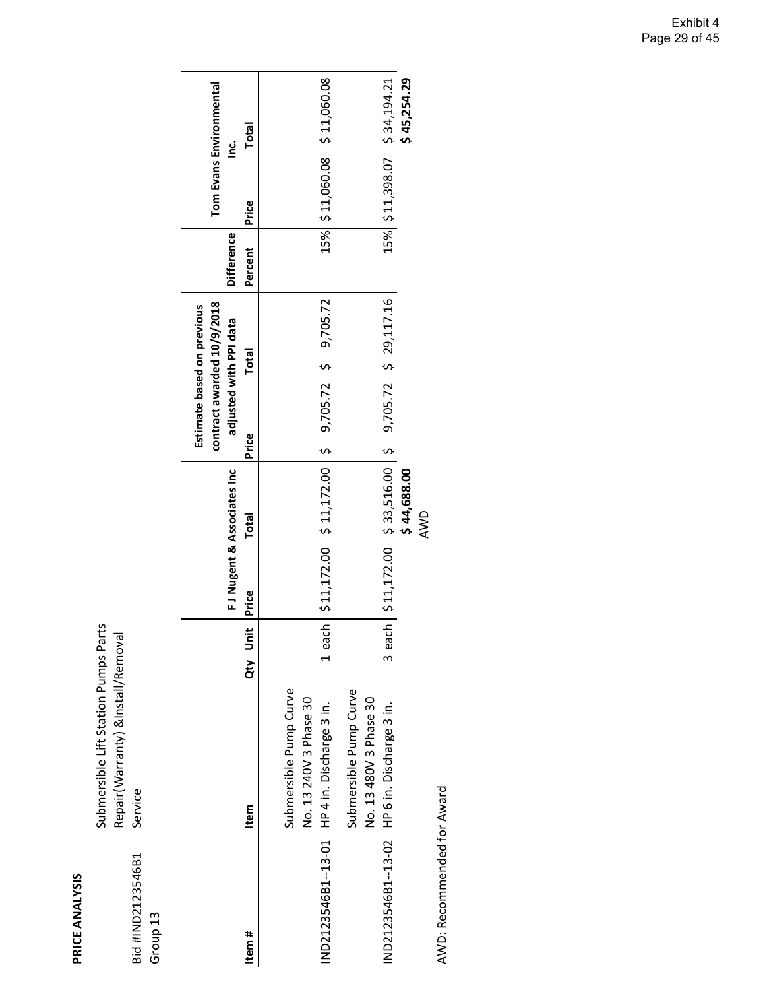Submersible Lift Station Pumps Parts Submersible Lift Station Pumps Parts Repair(Warranty) &Install/Removal<br>Service Repair(Warranty) &Install/Removal Bid #IND2123546B1 Service Bid #IND2123546B1<br>Group 13

|                            |                                                                                                  |          |       | FJNugent & Associates Inc                                                         |       | adjusted with PPI data | contract awarded 10/9/2018<br>Estimate based on previous | <b>Difference</b> |       | Tom Evans Environmental<br>ن<br>⊇          |
|----------------------------|--------------------------------------------------------------------------------------------------|----------|-------|-----------------------------------------------------------------------------------|-------|------------------------|----------------------------------------------------------|-------------------|-------|--------------------------------------------|
| Item #                     | ltem                                                                                             | Qty Unit | Price | <b>Total</b>                                                                      | Price |                        | <b>Total</b>                                             | Percent           | Price | <b>Total</b>                               |
| IND2123546B1--13-01        | Submersible Pump Curve<br>No. 13 240V 3 Phase 30<br>HP 4 in. Discharge 3 in.                     | 1 each   |       | $\begin{bmatrix} 511,172.00 & 511,172.00 & 5 & 9,705.72 \end{bmatrix}$ 5 9,705.72 |       |                        |                                                          |                   |       | 15% \$11,060.08 \$11,060.08                |
|                            | Submersible Pump Curve<br>No. 13 480V 3 Phase 30<br>IND2123546B1--13-02 HP 6 in. Discharge 3 in. |          |       | 3 each   \$11,172.00 \$33,516.00   \$9,705.72 \$29,117.16<br>\$44,688.00          |       |                        |                                                          |                   |       | 15% \$11,398.07 \$34,194.21<br>\$45,254.29 |
|                            |                                                                                                  |          |       | AWD                                                                               |       |                        |                                                          |                   |       |                                            |
| AWD: Recommended for Award |                                                                                                  |          |       |                                                                                   |       |                        |                                                          |                   |       |                                            |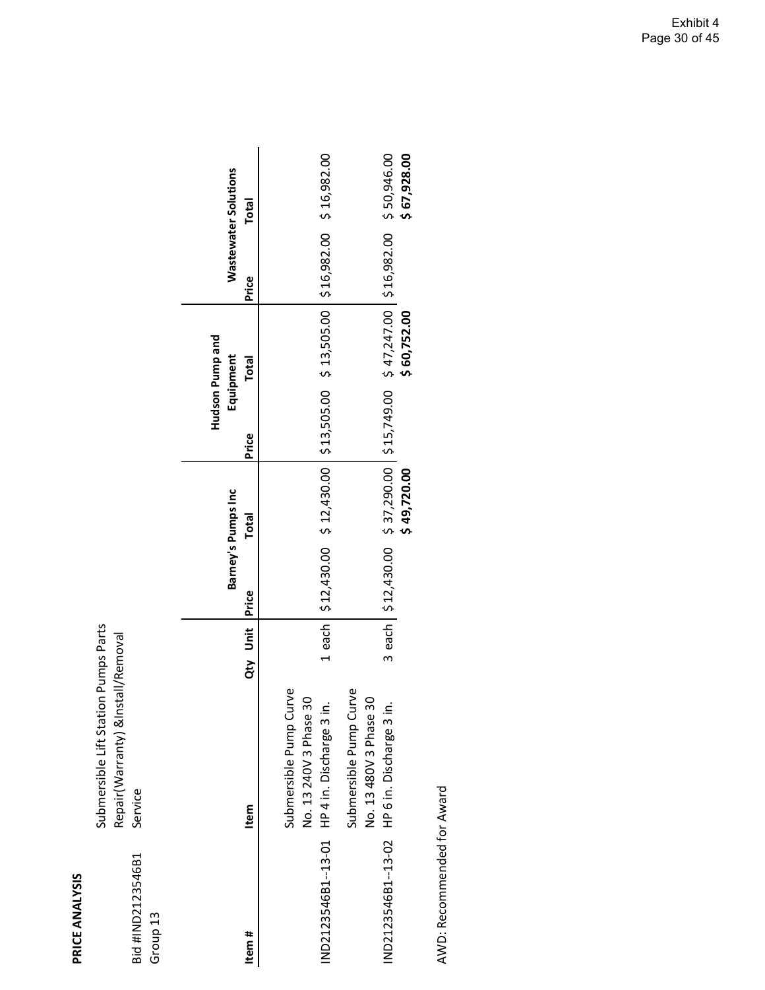Submersible Lift Station Pumps Parts Submersible Lift Station Pumps Parts Repair(Warranty) &Install/Removal<br>Service Repair(Warranty) &Install/Removal Bid #IND2123546B1 Service Bid #IND2123546B1<br>Group 13

|        |                                                                                                  |                |                                                                                                     | Hudson Pump and |              |                      |              |
|--------|--------------------------------------------------------------------------------------------------|----------------|-----------------------------------------------------------------------------------------------------|-----------------|--------------|----------------------|--------------|
|        |                                                                                                  |                | Barney's Pumps Inc                                                                                  | Equipment       |              | Wastewater Solutions |              |
| Item # | ltem                                                                                             | Qty Unit Price | <b>Total</b>                                                                                        | <b>Price</b>    | <b>Total</b> | Price                | <b>Total</b> |
|        | Submersible Pump Curve<br>No. 13 240V 3 Phase 30<br>IND2123546B1--13-01 HP 4 in. Discharge 3 in. |                |                                                                                                     |                 |              |                      |              |
|        | Submersible Pump Curve<br>No. 13 480V 3 Phase 30<br>IND2123546B1--13-02 HP 6 in. Discharge 3 in. |                | 3 each   \$12,430.00 \$37,290.00   \$15,749.00 \$47,247.00   \$16,982.00 \$50,946.00<br>\$49,720.00 |                 | \$60,752.00  |                      | \$67,928.00  |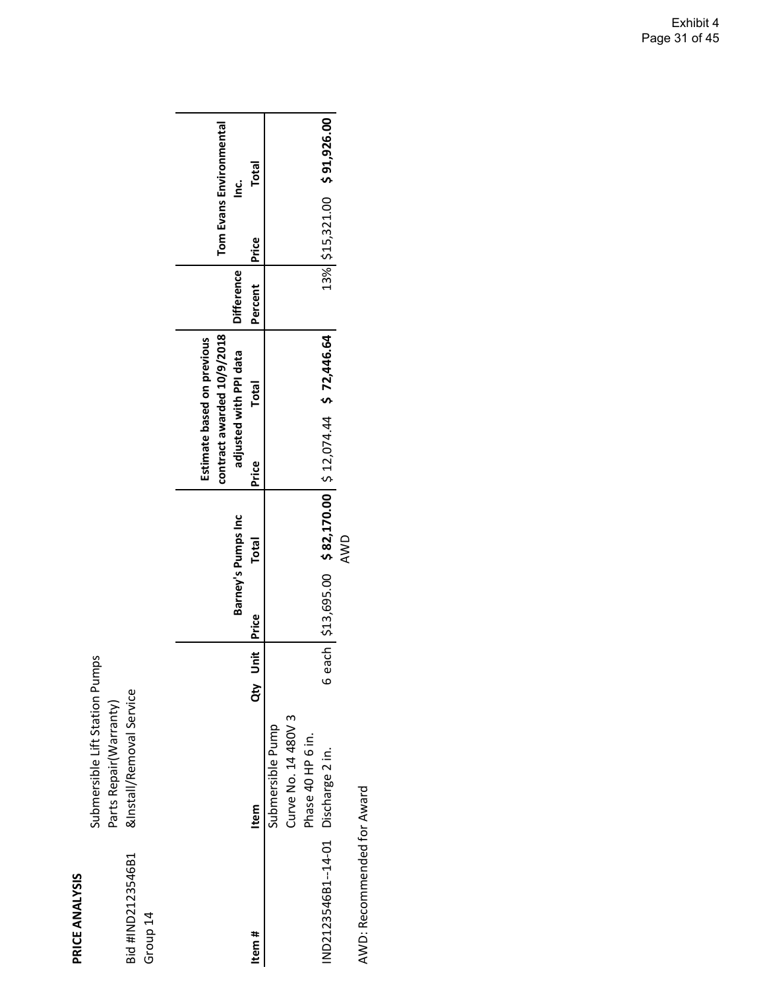Submersible Lift Station Pumps Submersible Lift Station Pumps Parts Repair(Warranty)<br>&Install/Removal Service Bid #IND2123546B1 &Install/Removal Service Parts Repair(Warranty) Bid #IND2123546B1<br>Group 14

|                                     |                     |          |                   | Barney's Pumps Inc | contract awarded 10/9/2018<br>Estimate based on previous<br>adjusted with PPI data |              | <b>Difference</b> | Tom Evans Environmental<br>ن<br>⊇ |       |
|-------------------------------------|---------------------|----------|-------------------|--------------------|------------------------------------------------------------------------------------|--------------|-------------------|-----------------------------------|-------|
| Item #                              | Item                | u<br>Aty | <b>Jnit Price</b> | <b>Total</b>       | Price                                                                              | <b>Total</b> | Percent           | Price                             | Total |
|                                     | Submersible Pump    |          |                   |                    |                                                                                    |              |                   |                                   |       |
|                                     | Curve No. 14 480V 3 |          |                   |                    |                                                                                    |              |                   |                                   |       |
|                                     | Phase 40 HP 6 in.   |          |                   |                    |                                                                                    |              |                   |                                   |       |
| IND2123546B1--14-01 Discharge 2 in. |                     |          |                   |                    | 6 each $\frac{1}{213,695.00}$ \$82,170.00 $\frac{1}{2}$ \$12,074.44 \$72,446.64    |              |                   | 13% \$15,321.00 \$91,926.00       |       |
|                                     |                     |          |                   | AWD                |                                                                                    |              |                   |                                   |       |
|                                     |                     |          |                   |                    |                                                                                    |              |                   |                                   |       |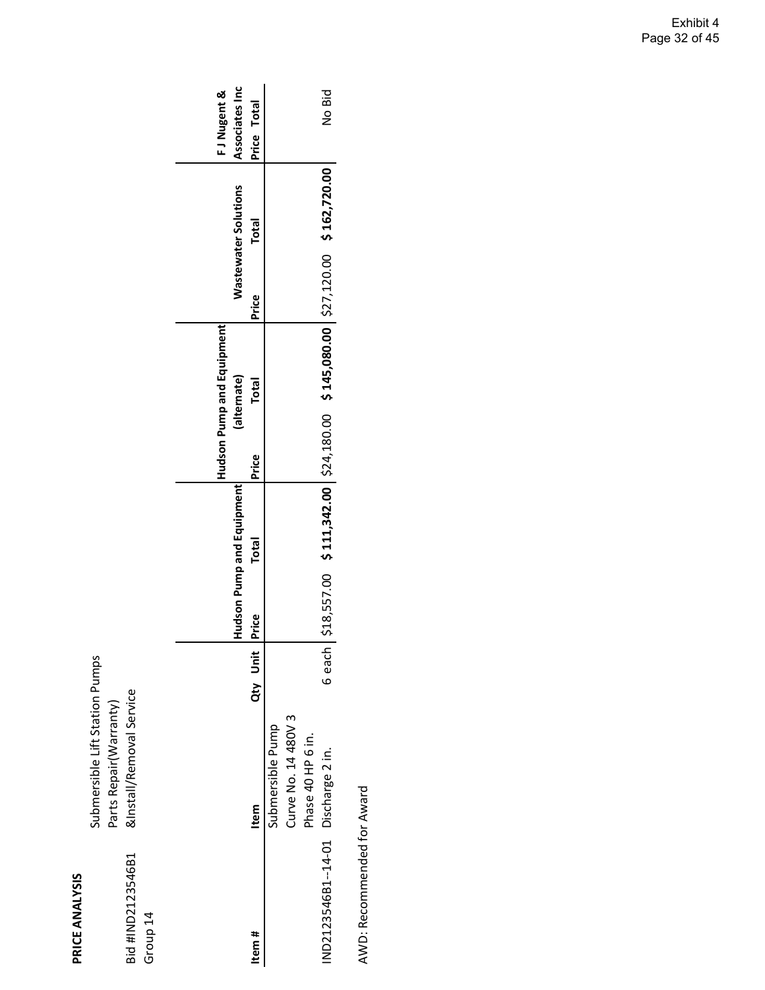| ī<br>ĩ,<br>J<br>ť<br>٢ |  |
|------------------------|--|

|                   | Submersible Lift Station Pumps |
|-------------------|--------------------------------|
|                   | Parts Repair(Warranty)         |
| Bid #IND2123546B1 | &Install/Removal Service       |
| Group 14          |                                |

|                                     |                     |          |               | Hudson Pump and Equipment |       | Hudson Pump and Equipment<br>(alternate)                                         |       | <b>Wastewater Solutions</b> | Associates Inc<br>FJ Nugent & |
|-------------------------------------|---------------------|----------|---------------|---------------------------|-------|----------------------------------------------------------------------------------|-------|-----------------------------|-------------------------------|
| Item#                               | Item                | Qty Unit | <b>IPrice</b> | <b>Total</b>              | Price | <b>Total</b>                                                                     | Price | <b>Total</b>                | Price Total                   |
|                                     | Submersible Pump    |          |               |                           |       |                                                                                  |       |                             |                               |
|                                     | Curve No. 14 480V 3 |          |               |                           |       |                                                                                  |       |                             |                               |
|                                     | Phase 40 HP 6 in.   |          |               |                           |       |                                                                                  |       |                             |                               |
| IND2123546B1--14-01 Discharge 2 in. |                     | 6 each   |               |                           |       | $$18,557.00$ $$111,342.00$ $$24,180.00$ $$145,080.00$ $$27,120.00$ $$162,720.00$ |       |                             | No Bid                        |
|                                     |                     |          |               |                           |       |                                                                                  |       |                             |                               |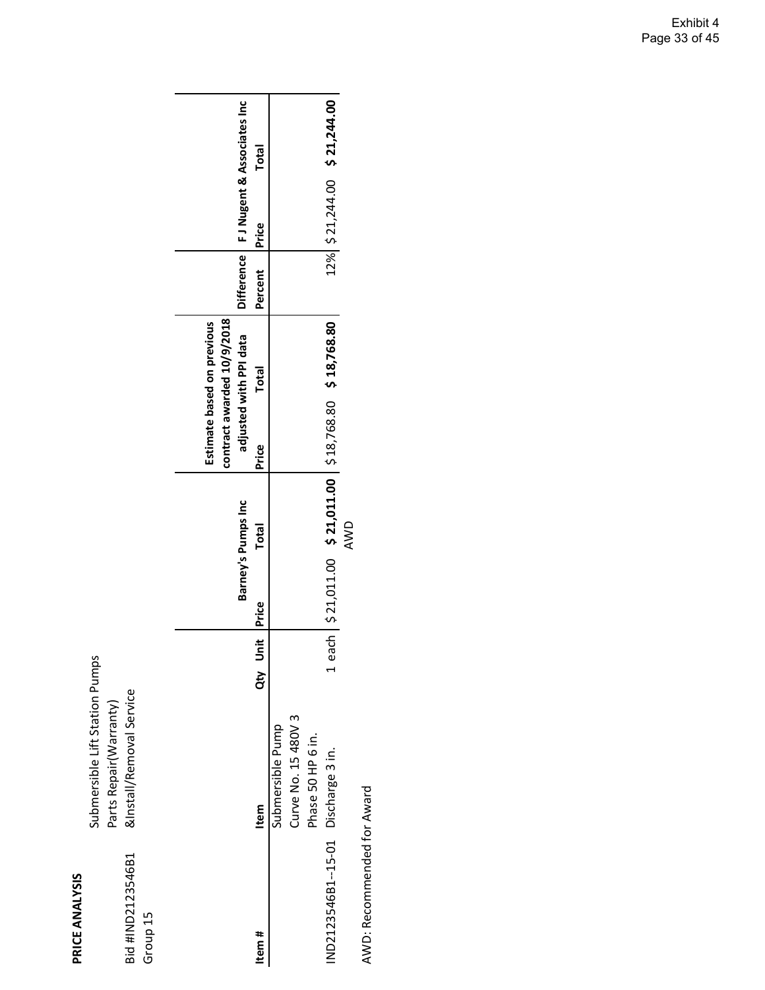Submersible Lift Station Pumps Submersible Lift Station Pumps Bid #IND2123546B1 &Install/Removal Service Parts Repair(Warranty) Bid #IND2123546B1<br>Group 15

| Parts Repair (Warranty | &Install/Removal Service |  |
|------------------------|--------------------------|--|
|                        |                          |  |
|                        |                          |  |

| 12% \$21,244.00 \$21,244.00<br>Difference   FJ Nugent & Associates Inc<br><b>Total</b><br>Price<br>Percent<br>contract awarded 10/9/2018<br>Estimate based on previous<br>ch   $$21,011.00$   $$21,011.00$   $$18,768.80$   \$18,768.80<br>adjusted with PPI data<br><b>Total</b><br>Price<br>Barney's Pumps Inc<br>AWD<br><b>Total</b><br><b>IPrice</b><br>Qty Unit<br>$\frac{1}{1}$<br>Curve No. 15 480V 3<br>Submersible Pump<br>Phase 50 HP 6 in.<br>IND2123546B1--15-01 Discharge 3 in.<br>Item<br>Item# |
|---------------------------------------------------------------------------------------------------------------------------------------------------------------------------------------------------------------------------------------------------------------------------------------------------------------------------------------------------------------------------------------------------------------------------------------------------------------------------------------------------------------|
|---------------------------------------------------------------------------------------------------------------------------------------------------------------------------------------------------------------------------------------------------------------------------------------------------------------------------------------------------------------------------------------------------------------------------------------------------------------------------------------------------------------|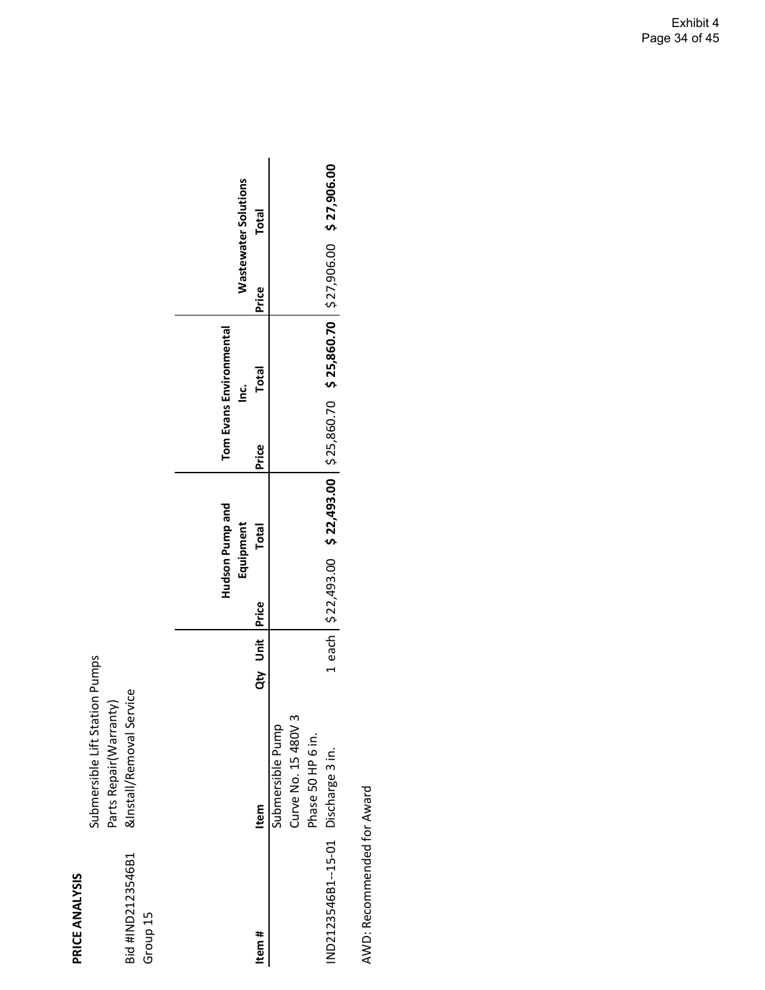| L<br>ł |
|--------|
|        |
|        |
|        |
|        |
|        |
|        |
|        |
|        |
| u      |
|        |
|        |
|        |
|        |
|        |

Submersible Lift Station Pumps Submersible Lift Station Pumps &Install/Removal Service Bid #IND2123546B1 &Install/Removal Service Parts Repair(Warranty) Parts Repair(Warranty) Bid #IND2123546B1<br>Group 15

|                                     |                     |                |  | Hudson Pump and<br>Equipment | Tom Evans Environmental | ن<br><u>آ</u> | <b>Wastewater Solutions</b> |       |
|-------------------------------------|---------------------|----------------|--|------------------------------|-------------------------|---------------|-----------------------------|-------|
| Item #                              | Item                | Qty Unit Price |  | <b>Total</b>                 | Price                   | <b>Total</b>  | Price                       | Total |
|                                     | Submersible Pump    |                |  |                              |                         |               |                             |       |
|                                     | Curve No. 15 480V 3 |                |  |                              |                         |               |                             |       |
|                                     | Phase 50 HP 6 in.   |                |  |                              |                         |               |                             |       |
| IND2123546B1--15-01 Discharge 3 in. |                     |                |  |                              |                         |               |                             |       |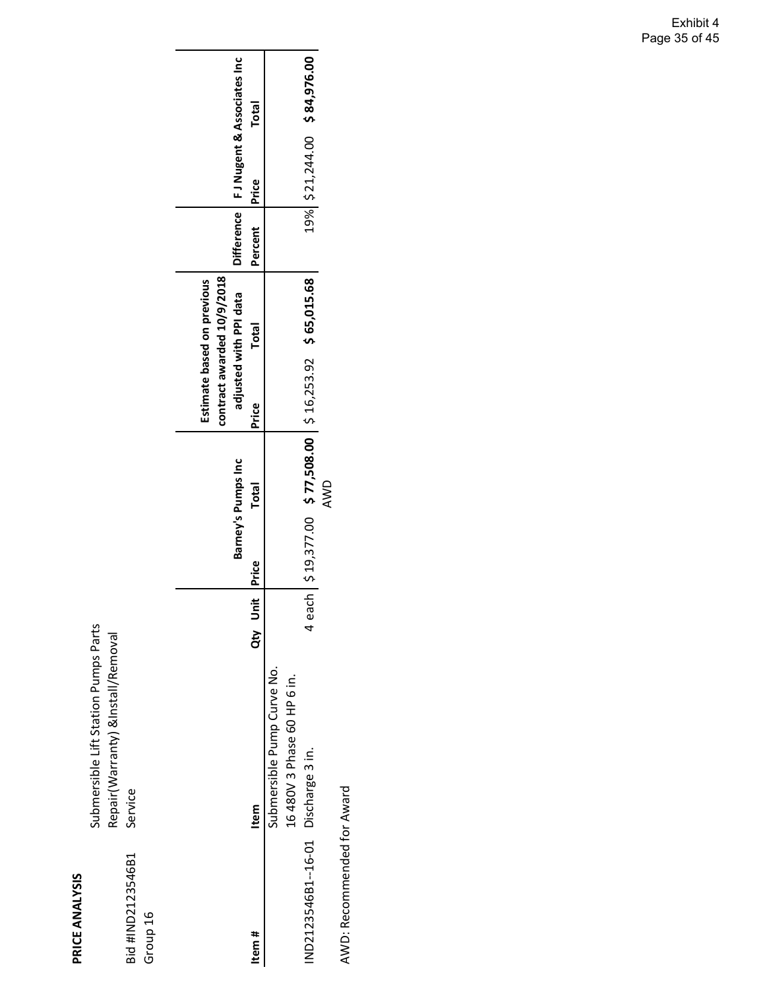Submersible Lift Station Pumps Parts Submersible Lift Station Pumps Parts Repair(Warranty) &Install/Removal<br>Service Repair(Warranty) &Install/Removal Bid #IND2123546B1 Service Bid #IND2123546B1<br>Group 16

|                                     |                             |                | Barney's Pumps Inc                                         |       | contract awarded 10/9/2018<br>Estimate based on previous<br>adjusted with PPI data |         | Difference   FJ Nugent & Associates Inc |              |
|-------------------------------------|-----------------------------|----------------|------------------------------------------------------------|-------|------------------------------------------------------------------------------------|---------|-----------------------------------------|--------------|
| Item#                               | Item                        | Qty Unit Price | Total                                                      | Price | Total                                                                              | Percent | <b>Price</b>                            | <b>Total</b> |
|                                     | submersible Pump Curve No.  |                |                                                            |       |                                                                                    |         |                                         |              |
|                                     | 16 480V 3 Phase 60 HP 6 in. |                |                                                            |       |                                                                                    |         |                                         |              |
| IND2123546B1--16-01 Discharge 3 in. |                             |                | 4 each   \$19,377.00 \$77,508.00   \$16,253.92 \$65,015.68 |       |                                                                                    |         | 19%   \$21,244.00 \$84,976.00           |              |
|                                     |                             |                | AWD                                                        |       |                                                                                    |         |                                         |              |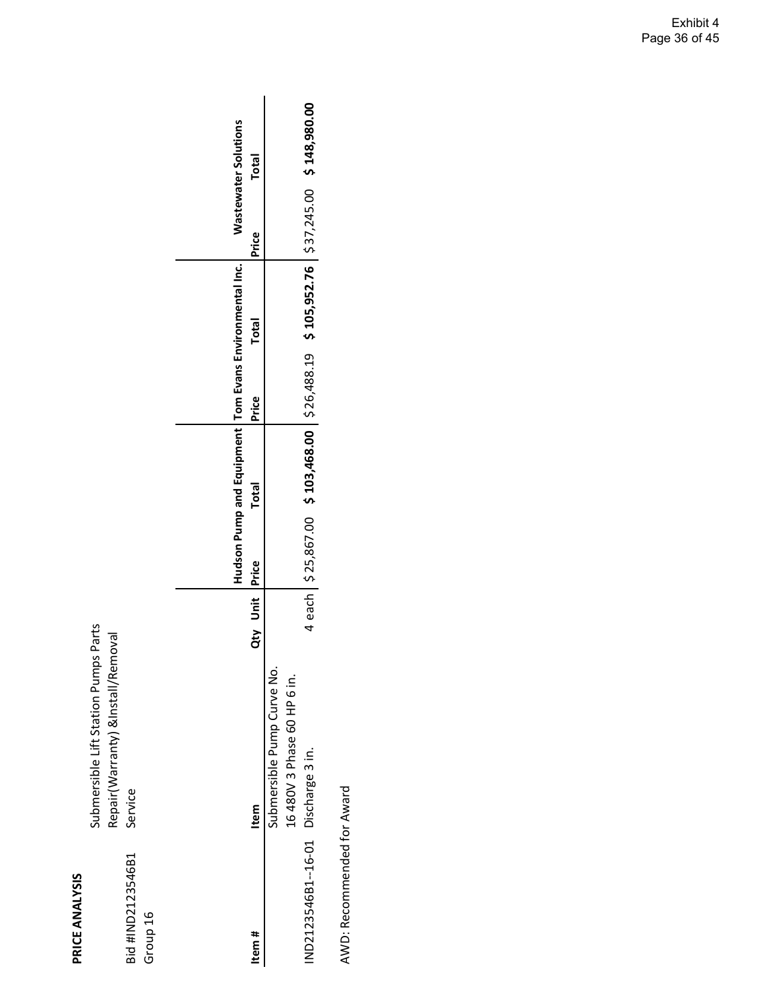Submersible Lift Station Pumps Parts Submersible Lift Station Pumps Parts Repair(Warranty) &Install/Removal<br>Service Repair(Warranty) &Install/Removal Bid #IND2123546B1 Service Bid #IND2123546B1<br>Group 16

| <b>Wastewater Solutions</b>                              | Total          |                            |                             | 4 each   \$25,867.00 \$103,468.00   \$26,488.19 \$105,952.76   \$37,245.00 \$148,980.00 |
|----------------------------------------------------------|----------------|----------------------------|-----------------------------|-----------------------------------------------------------------------------------------|
|                                                          | Price          |                            |                             |                                                                                         |
|                                                          | Total          |                            |                             |                                                                                         |
|                                                          | Price          |                            |                             |                                                                                         |
| Hudson Pump and Equipment   Tom Evans Environmental Inc. | Total          |                            |                             |                                                                                         |
|                                                          |                |                            |                             |                                                                                         |
|                                                          | Qty Unit Price |                            |                             |                                                                                         |
|                                                          |                |                            |                             |                                                                                         |
|                                                          | Item           | Submersible Pump Curve No. | 16 480V 3 Phase 60 HP 6 in. |                                                                                         |
|                                                          | Item #         |                            |                             | IND2123546B1--16-01 Discharge 3 in.                                                     |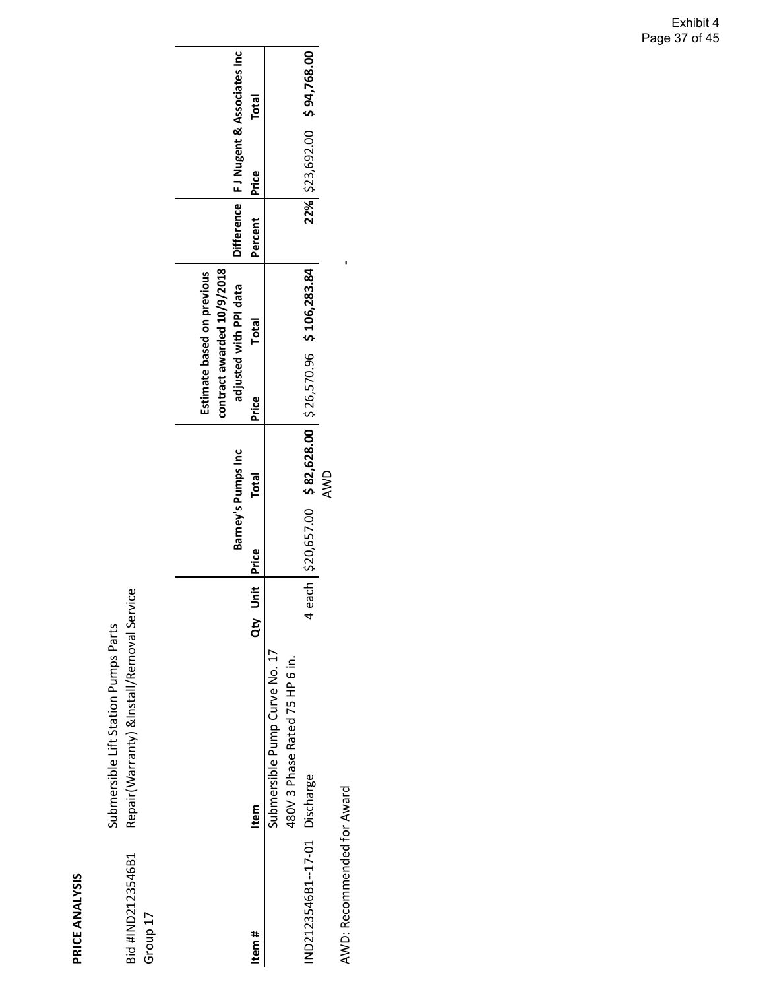Submersible Lift Station Pumps Parts

Submersible Lift Station Pumps Parts<br>Repair(Warranty) &Install/Removal Service

Bid #IND2123546B1 Repair(Warranty) &Install/Removal Service

Bid #IND2123546B1

| Group 17                     |                                                                 |             |                                                       |     |       |                                                                                    |         |                                         |              |
|------------------------------|-----------------------------------------------------------------|-------------|-------------------------------------------------------|-----|-------|------------------------------------------------------------------------------------|---------|-----------------------------------------|--------------|
|                              |                                                                 |             | Barney's Pumps Inc                                    |     |       | contract awarded 10/9/2018<br>Estimate based on previous<br>adjusted with PPI data |         | Difference   FJ Nugent & Associates Inc |              |
| Item#                        | Item                                                            | Jnit<br>đțy | Total<br><b>Price</b>                                 |     | Price | <b>Total</b>                                                                       | Percent | Price                                   | <b>Total</b> |
|                              | Submersible Pump Curve No. 17<br>480V 3 Phase Rated 75 HP 6 in. |             |                                                       |     |       |                                                                                    |         |                                         |              |
| ND2123546B1--17-01 Discharge |                                                                 | 4           | each \$20,657.00 \$82,628.00 \$26,570.96 \$106,283.84 |     |       |                                                                                    |         | 22% \$23,692.00 \$94,768.00             |              |
|                              |                                                                 |             |                                                       | AWD |       |                                                                                    |         |                                         |              |

AWD: Recommended for Award AWD: Recommended for Award

 **‐**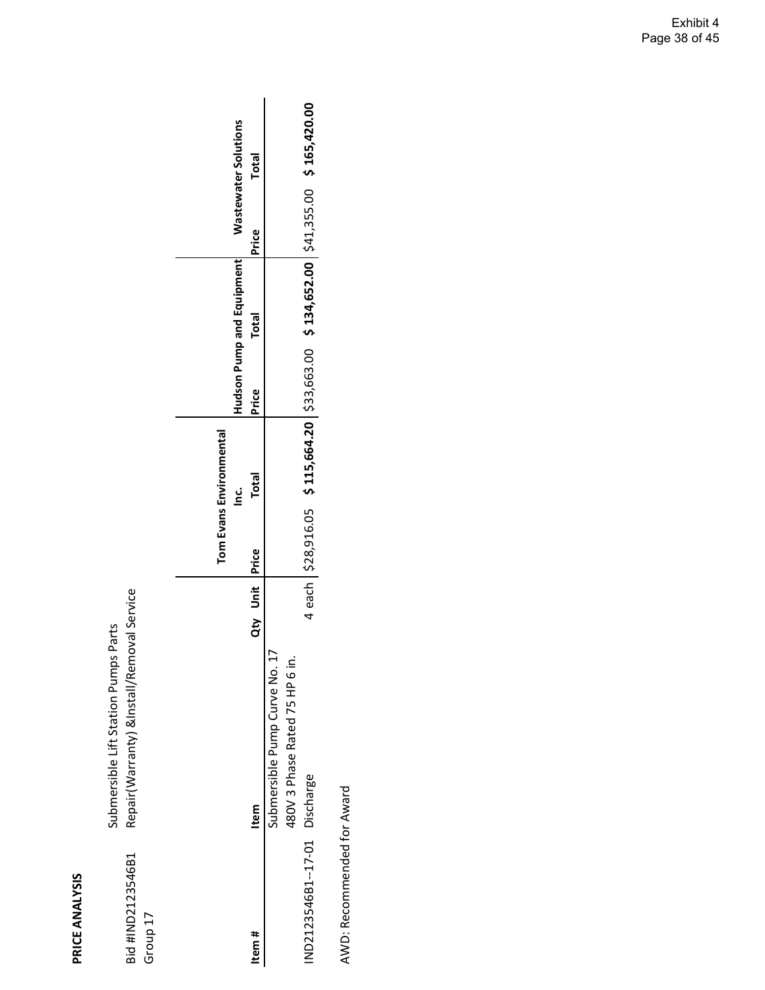Submersible Lift Station Pumps Parts

Submersible Lift Station Pumps Parts<br>Repair(Warranty) &Install/Removal Service

| 4 each \$28,916.05 \$115,664.20 \$33,663.00 \$134,652.00 \$41,355.00 \$165,420.00<br>480V 3 Phase Rated 75 HP 6 in.<br>IND2123546B1--17-01 Discharge |
|------------------------------------------------------------------------------------------------------------------------------------------------------|
|                                                                                                                                                      |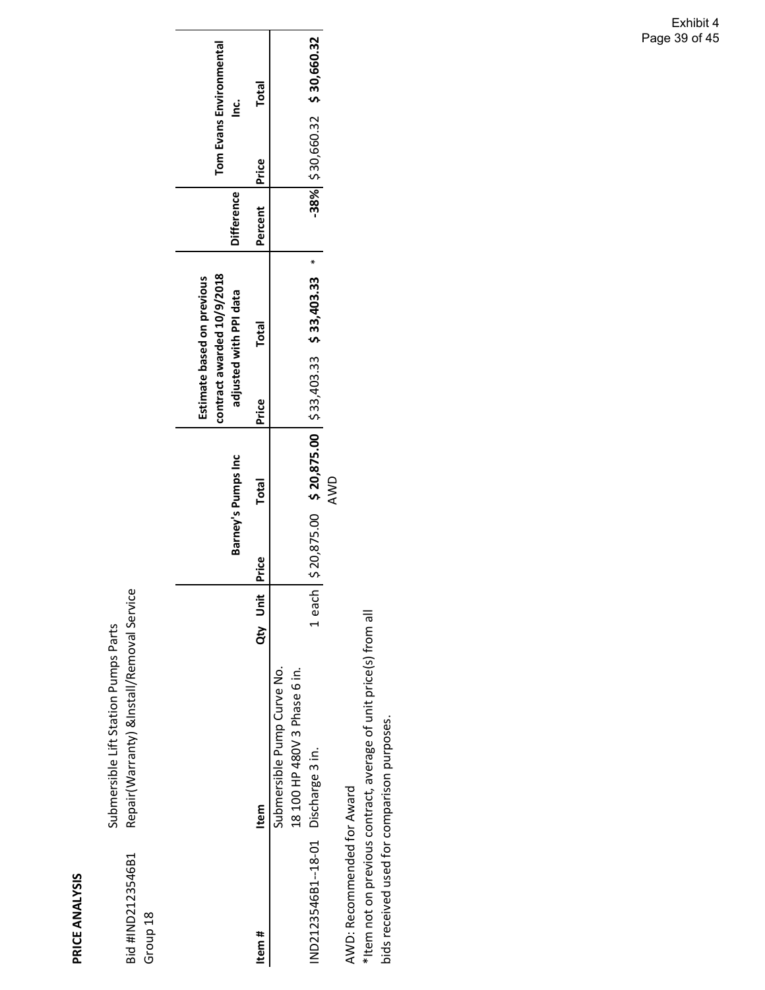Submersible Lift Station Pumps Parts

Submersible Lift Station Pumps Parts

| Bid #IND2123546B1<br>Group 18       | Repair(Warranty) &Install/Removal Service                  |          |       |                                                     |       |                                                                                    |                   |                                 |        |
|-------------------------------------|------------------------------------------------------------|----------|-------|-----------------------------------------------------|-------|------------------------------------------------------------------------------------|-------------------|---------------------------------|--------|
|                                     |                                                            |          |       | Barney's Pumps Inc                                  |       | contract awarded 10/9/2018<br>Estimate based on previous<br>adjusted with PPI data | <b>Difference</b> | Tom Evans Environmental         | ن<br>⊆ |
| Item #                              | Item                                                       | Qty Unit | Price | <b>Total</b>                                        | Price | <b>Total</b>                                                                       | Percent           | Price                           | Total  |
|                                     | Submersible Pump Curve No.<br>18 100 HP 480V 3 Phase 6 in. |          |       |                                                     |       |                                                                                    |                   |                                 |        |
| IND2123546B1--18-01 Discharge 3 in. |                                                            | Leach    |       | $$20,875.00$ $$20,875.00$ $$33,403.33$ $$33,403.33$ |       | ¥                                                                                  |                   | $-38\%$ \$30,660.32 \$30,660.32 |        |
|                                     |                                                            |          |       | AWD                                                 |       |                                                                                    |                   |                                 |        |

AWD: Recommended for Award AWD: Recommended for Award

\*Item not on previous contract, average of unit price(s) from all \*Item not on previous contract, average of unit price(s) from all

bids received used for comparison purposes. bids received used for comparison purposes.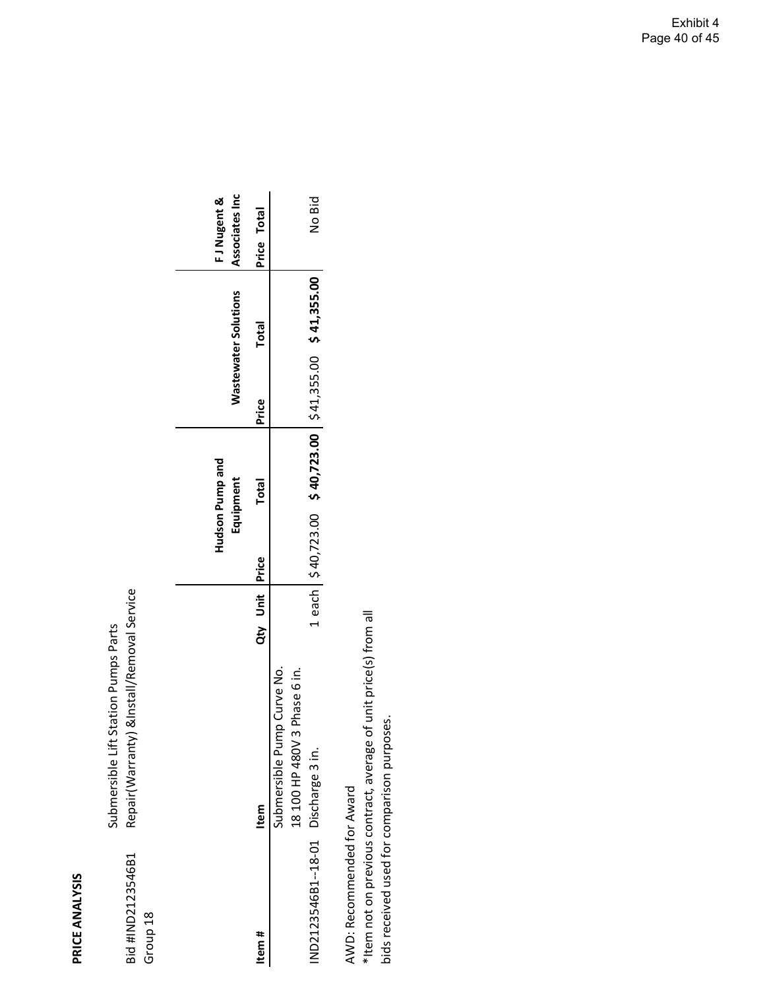Bid #IND2123546B1

Bid #IND2123546B1

Submersible Lift Station Pumps Parts

Submersible Lift Station Pumps Parts

Repair(Warranty) &Install/Removal Service

Repair(Warranty) &Install/Removal Service

|          | FJ Nugent &     | Associates Inc              | Price Total    |                                                               | No Bid                                                     |
|----------|-----------------|-----------------------------|----------------|---------------------------------------------------------------|------------------------------------------------------------|
|          |                 | <b>Wastewater Solutions</b> | <b>Total</b>   |                                                               | 1 each   \$40,723.00 \$40,723.00   \$41,355.00 \$41,355.00 |
|          |                 |                             | Price          |                                                               |                                                            |
|          | Hudson Pump and | Equipment                   | Total          |                                                               |                                                            |
|          |                 |                             |                |                                                               |                                                            |
|          |                 |                             | Qty Unit Price |                                                               |                                                            |
|          |                 |                             | Item           | Submersible Pump Curve No.<br>3 Phase 6 in.<br>18 100 HP 480V |                                                            |
| Group 18 |                 |                             | Item #         |                                                               | IND2123546B1--18-01 Discharge 3 in.                        |

AWD: Recommended for Award AWD: Recommended for Award

\*Item not on previous contract, average of unit price(s) from all \*Item not on previous contract, average of unit price(s) from all bids received used for comparison purposes. bids received used for comparison purposes.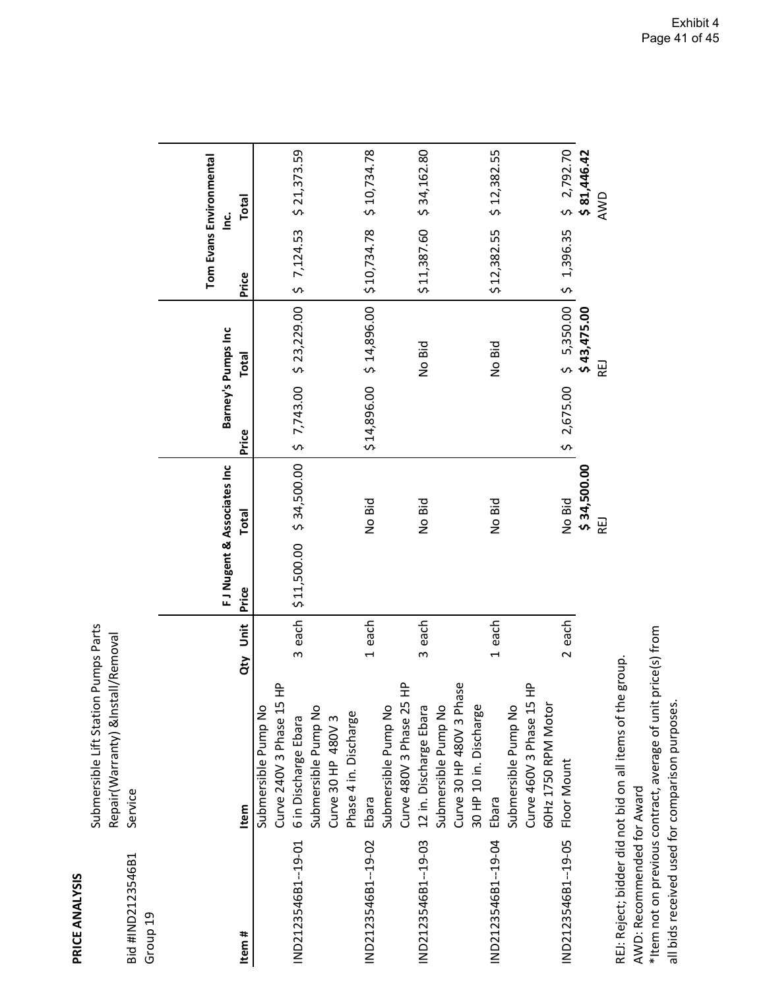Submersible Lift Station Pumps Parts Submersible Lift Station Pumps Parts Repair (Warranty) & Install/Removal Repair(Warranty) &Install/Removal Service Bid #IND2123546B1 Service Bid #IND2123546B1<br>Group 19

|                            |                                                          |               | FJ Nugent & Associates Inc |                                | Barney's Pumps Inc          | Tom Evans Environmental<br><u>ن</u><br>1 |              |
|----------------------------|----------------------------------------------------------|---------------|----------------------------|--------------------------------|-----------------------------|------------------------------------------|--------------|
| Item #                     | Item                                                     | Jnit<br>ð     | <b>Total</b><br>Price      | Price                          | <b>Total</b>                | Price                                    | <b>Total</b> |
|                            | Submersible Pump No                                      |               |                            |                                |                             |                                          |              |
|                            | 운<br>Curve 240V 3 Phase 15                               |               |                            |                                |                             |                                          |              |
| IND2123546B1--19-01        | 6 in Discharge Ebara                                     | 3 each        | \$34,500.00<br>\$11,500.00 | 5 7,743.00                     | \$23,229.00                 | 5 7,124.53                               | \$21,373.59  |
|                            | Submersible Pump No                                      |               |                            |                                |                             |                                          |              |
|                            | Curve 30 HP 480V 3                                       |               |                            |                                |                             |                                          |              |
|                            | Phase 4 in. Discharge                                    |               |                            |                                |                             |                                          |              |
| IND2123546B1--19-02        | Ebara                                                    | 1 each        | No Bid                     | \$14,896.00                    | \$14,896.00                 | \$10,734.78                              | \$10,734.78  |
|                            | Submersible Pump No                                      |               |                            |                                |                             |                                          |              |
|                            | $\frac{\mathsf{p}}{\mathsf{p}}$<br>Curve 480V 3 Phase 25 |               |                            |                                |                             |                                          |              |
| IND2123546B1--19-03        | 12 in. Discharge Ebara                                   | 3 each        | No Bid                     |                                | No Bid                      | \$11,387.60                              | \$34,162.80  |
|                            | Submersible Pump No                                      |               |                            |                                |                             |                                          |              |
|                            | ase<br>Curve 30 HP 480V 3 Ph                             |               |                            |                                |                             |                                          |              |
|                            | 30 HP 10 in. Discharge                                   |               |                            |                                |                             |                                          |              |
| IND2123546B1--19-04        | Ebara                                                    | 1 each        | No Bid                     |                                | No Bid                      | \$12,382.55                              | 512,382.55   |
|                            | Submersible Pump No                                      |               |                            |                                |                             |                                          |              |
|                            | 운<br>Curve 460V 3 Phase 15                               |               |                            |                                |                             |                                          |              |
|                            | 60Hz 1750 RPM Motor                                      |               |                            |                                |                             |                                          |              |
| IND2123546B1--19-05        | Floor Mount                                              | 2 each        | No Bid                     | 2,675.00<br>$\mathbf{\hat{v}}$ |                             | 5 1,396.35                               | \$2,792.70   |
|                            |                                                          |               | \$34,500.00                |                                | $$5,350.00$<br>$$43,475.00$ |                                          | \$81,446.42  |
|                            |                                                          |               | REJ                        |                                | 핎                           |                                          | AWD          |
|                            | REJ: Reject; bidder did not bid on all items of th       | le group.     |                            |                                |                             |                                          |              |
| AWD: Recommended for Award |                                                          |               |                            |                                |                             |                                          |              |
|                            | *Item not on previous contract, average of unit          | price(s) from |                            |                                |                             |                                          |              |

all bids received used for comparison purposes.

all bids received used for comparison purposes.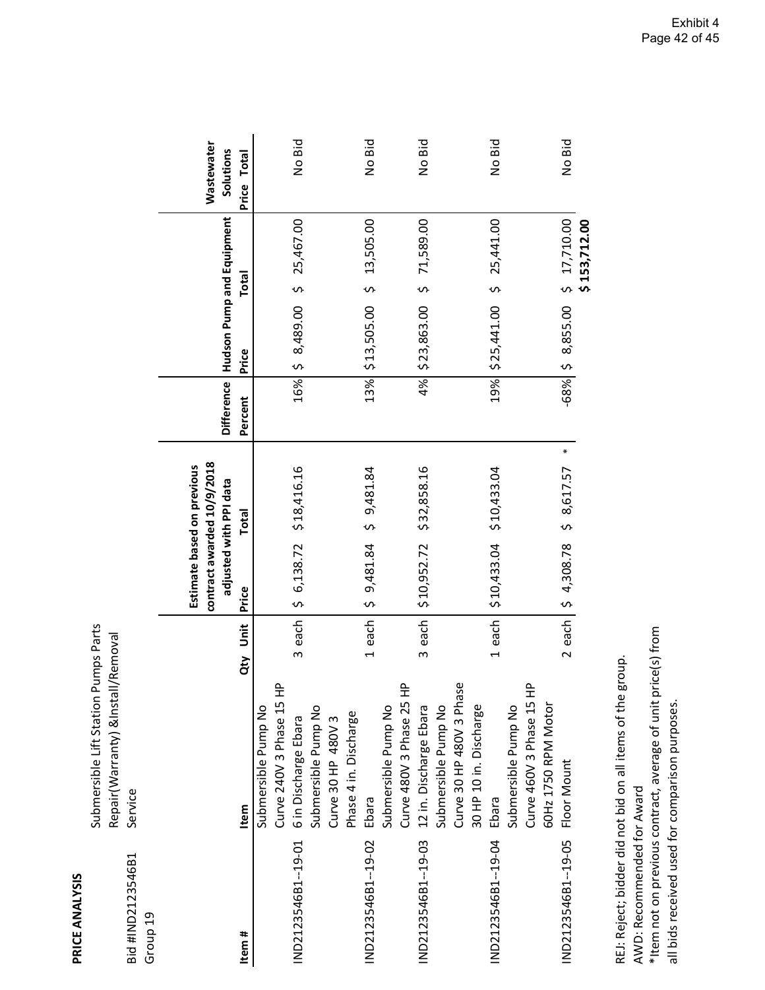| Group 19            |                          |                     |             |                                                                                    |         |                              |                                        |                         |
|---------------------|--------------------------|---------------------|-------------|------------------------------------------------------------------------------------|---------|------------------------------|----------------------------------------|-------------------------|
|                     |                          |                     |             | contract awarded 10/9/2018<br>Estimate based on previous<br>adjusted with PPI data |         |                              | Difference   Hudson Pump and Equipment | Wastewater<br>Solutions |
| Item #              | Item                     | <b>Jinit</b><br>Qty | Price       | <b>Total</b>                                                                       | Percent | Price                        | Total                                  | Price Total             |
|                     | Submersible Pump No      |                     |             |                                                                                    |         |                              |                                        |                         |
|                     | Curve 240V 3 Phase 15 HP |                     |             |                                                                                    |         |                              |                                        |                         |
| IND2123546B1--19-01 | 6 in Discharge Ebara     | 3 each              |             | $56,138.72$ $518,416.16$                                                           |         | 16% \$ 8,489.00 \$ 25,467.00 |                                        | No Bid                  |
|                     | Submersible Pump No      |                     |             |                                                                                    |         |                              |                                        |                         |
|                     | Curve 30 HP 480V 3       |                     |             |                                                                                    |         |                              |                                        |                         |
|                     | Phase 4 in. Discharge    |                     |             |                                                                                    |         |                              |                                        |                         |
| IND2123546B1--19-02 | Ebara                    | 1 each              | 59,481.84   | 59,481.84                                                                          |         | 13% \$13,505.00              | \$ 13,505.00                           | No Bid                  |
|                     | Submersible Pump No      |                     |             |                                                                                    |         |                              |                                        |                         |
|                     | Curve 480V 3 Phase 25 HP |                     |             |                                                                                    |         |                              |                                        |                         |
| IND2123546B1--19-03 | 12 in. Discharge Ebara   | 3 each              | \$10,952.72 | \$32,858.16                                                                        | 4%      | \$23,863.00                  | 71,589.00<br>$\mathfrak{o}$            | No Bid                  |
|                     | Submersible Pump No      |                     |             |                                                                                    |         |                              |                                        |                         |
|                     | Curve 30 HP 480V 3 Phase |                     |             |                                                                                    |         |                              |                                        |                         |
|                     | 30 HP 10 in. Discharge   |                     |             |                                                                                    |         |                              |                                        |                         |
| IND2123546B1--19-04 | Ebara                    | 1 each              | \$10,433.04 | \$10,433.04                                                                        | 19%     | \$25,441.00                  | 25,441.00<br>$\sim$                    | No Bid                  |
|                     | Submersible Pump No      |                     |             |                                                                                    |         |                              |                                        |                         |
|                     | Curve 460V 3 Phase 15 HP |                     |             |                                                                                    |         |                              |                                        |                         |
|                     | 60Hz 1750 RPM Motor      |                     |             |                                                                                    |         |                              |                                        |                         |
| IND2123546B1--19-05 | Floor Mount              | 2 each              | 54,308.78   | $\ast$<br>58,617.57                                                                |         | $-68%$ \$ 8,855.00           | \$ 17,710.00                           | No Bid                  |
|                     |                          |                     |             |                                                                                    |         |                              | \$153,712.00                           |                         |

**PRICE ANALYSIS**

PRICE ANALYSIS

Bid #IND2123546B1 Service

Bid #IND2123546B1

Service

Submersible Lift Station Pumps Parts Repair(Warranty) &Install/Removal

Repair(Warranty) &Install/Removal

Submersible Lift Station Pumps Parts

REJ: Reject; bidder did not bid on all items of the group. REJ: Reject; bidder did not bid on all items of the group.

\*Item not on previous contract, average of unit price(s) from \*Item not on previous contract, average of unit price(s) from AWD: Recommended for Award AWD: Recommended for Award

all bids received used for comparison purposes. all bids received used for comparison purposes.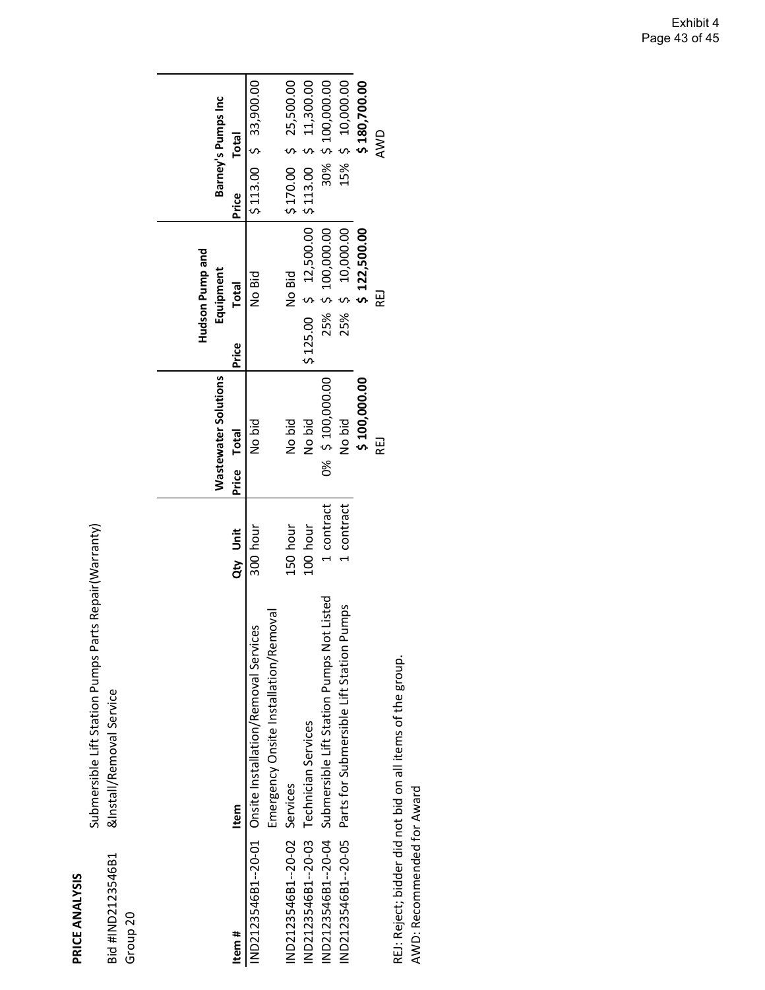Submersible Lift Station Pumps Parts Repair(Warranty)<br>&Install/Removal Service Submersible Lift Station Pumps Parts Repair(Warranty) Bid #IND2123546B1 &Install/Removal Service

Bid #IND2123546B1<br>Group 20

|                                         |                                                               |            |                             | Hudson Pump and        |                       |
|-----------------------------------------|---------------------------------------------------------------|------------|-----------------------------|------------------------|-----------------------|
|                                         |                                                               |            | <b>Wastewater Solutions</b> | Equipment              | Barney's Pumps Inc    |
| Item #                                  | ltem                                                          | Qty Unit   | Price Total                 | <b>Total</b><br>Price  | <b>Total</b><br>Price |
|                                         | IND2123546B1--20-01 Onsite Installation/Removal Services      | 300 hour   | No bid                      | No Bid                 | \$113.00 \$ 33,900.00 |
|                                         | Emergency Onsite Installation/Removal                         |            |                             |                        |                       |
| IND2123546B1--20-02 Services            |                                                               | 150 hour   | No bid                      | No Bid                 | \$170.00 \$ 25,500.00 |
| IND2123546B1--20-03 Technician Services |                                                               | 100 hour   | No bid                      | $$125.00 $5$ 12,500.00 | \$113.00 \$ 11,300.00 |
|                                         | IND2123546B1--20-04 Submersible Lift Station Pumps Not Listed | 1 contract | 0% \$100,000.00             | 25% \$ 100,000.00      | 30% \$ 100,000.00     |
| IND2123546B1--20-05                     | Parts for Submersible Lift Station Pumps                      | 1 contract | No bid                      | 25% \$ 10,000.00       | 15% \$ 10,000.00      |
|                                         |                                                               |            | \$100,000.00                | \$122,500.00           | \$180,700.00          |
|                                         |                                                               |            | REJ                         | 딚                      | AWD                   |
|                                         |                                                               |            |                             |                        |                       |

REJ: Reject; bidder did not bid on all items of the group. REJ: Reject; bidder did not bid on all items of the group. AWD: Recommended for Award AWD: Recommended for Award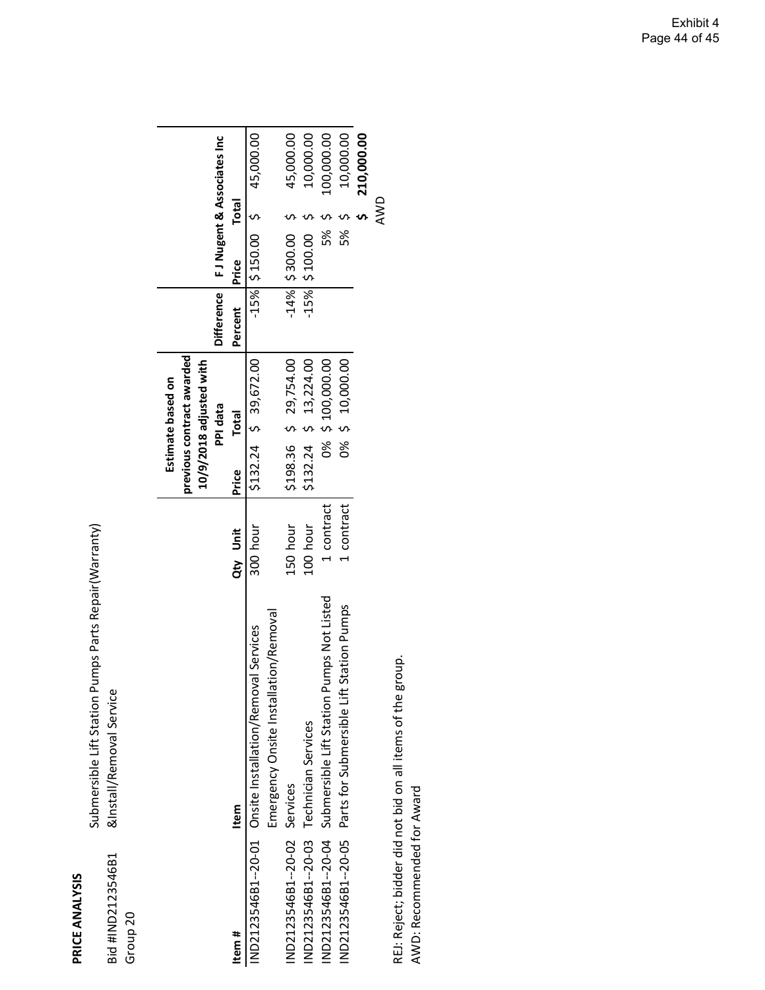Submersible Lift Station Pumps Parts Repair(Warranty) Submersible Lift Station Pumps Parts Repair(Warranty) &Install/Removal Service Bid #IND2123546B1 &Install/Removal Service

Bid #IND2123546B1<br>Group 20

|                                         |                                                               |            |       | previous contract awarded<br>10/9/2018 adjusted with<br>Estimate based on |         |                                         |              |            |
|-----------------------------------------|---------------------------------------------------------------|------------|-------|---------------------------------------------------------------------------|---------|-----------------------------------------|--------------|------------|
|                                         |                                                               |            |       | PPI data                                                                  |         | Difference   FJ Nugent & Associates Inc |              |            |
| Item #                                  | Item                                                          | Qty Unit   | Price | Total                                                                     | Percent | Price                                   | <b>Total</b> |            |
|                                         | IND2123546B1--20-01 Onsite Installation/Removal Services      | 300 hour   |       | \$132.24 \$39,672.00                                                      |         | $-15\%$ \$150.00 \$ 45,000.00           |              |            |
|                                         | Emergency Onsite Installation/Removal                         |            |       |                                                                           |         |                                         |              |            |
| IND2123546B1--20-02 Services            |                                                               | 150 hour   |       | \$198.36 \$ 29,754.00                                                     |         | $-14%$ \$ 300.00 \$                     |              | 45,000.00  |
| IND2123546B1--20-03 Technician Services |                                                               | 100 hour   |       | \$132.24 \$ 13,224.00                                                     |         | $-15%$ \$100.00                         |              | 10,000.00  |
|                                         | IND2123546B1--20-04 Submersible Lift Station Pumps Not Listed | 1 contract |       | 0% \$ 100,000.00                                                          |         | 5%                                      |              | 100,000.00 |
|                                         | IND2123546B1--20-05 Parts for Submersible Lift Station Pumps  | 1 contract |       | 0% \$ 10,000.00                                                           |         | 5%                                      |              | 10,000.00  |
|                                         |                                                               |            |       |                                                                           |         |                                         |              | 210,000.00 |
|                                         |                                                               |            |       |                                                                           |         |                                         | AMD          |            |

REJ: Reject; bidder did not bid on all items of the group. REJ: Reject; bidder did not bid on all items of the group. AWD: Recommended for Award AWD: Recommended for Award